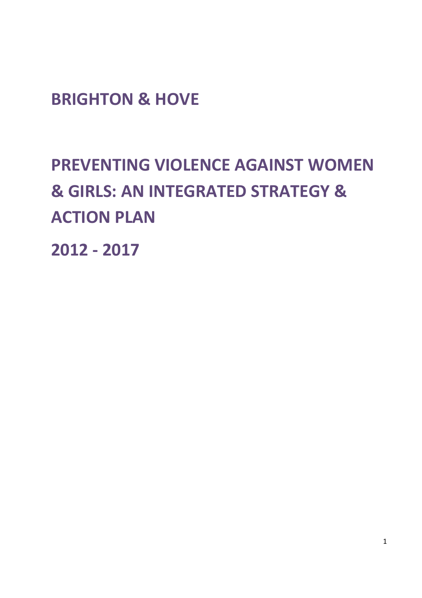BRIGHTON & HOVE

# PREVENTING VIOLENCE AGAINST WOMEN & GIRLS: AN INTEGRATED STRATEGY & ACTION PLAN

2012 - 2017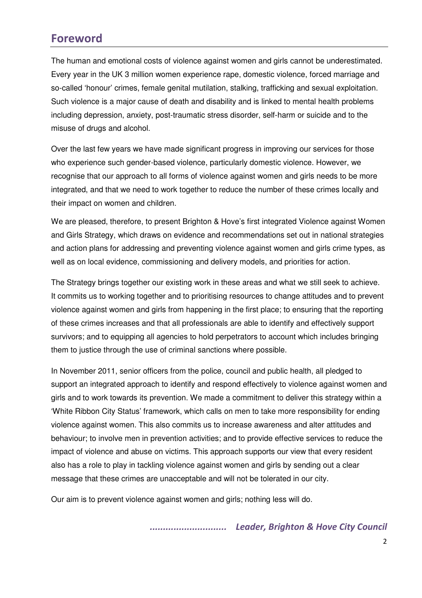### Foreword

The human and emotional costs of violence against women and girls cannot be underestimated. Every year in the UK 3 million women experience rape, domestic violence, forced marriage and so-called 'honour' crimes, female genital mutilation, stalking, trafficking and sexual exploitation. Such violence is a major cause of death and disability and is linked to mental health problems including depression, anxiety, post-traumatic stress disorder, self-harm or suicide and to the misuse of drugs and alcohol.

Over the last few years we have made significant progress in improving our services for those who experience such gender-based violence, particularly domestic violence. However, we recognise that our approach to all forms of violence against women and girls needs to be more integrated, and that we need to work together to reduce the number of these crimes locally and their impact on women and children.

We are pleased, therefore, to present Brighton & Hove's first integrated Violence against Women and Girls Strategy, which draws on evidence and recommendations set out in national strategies and action plans for addressing and preventing violence against women and girls crime types, as well as on local evidence, commissioning and delivery models, and priorities for action.

The Strategy brings together our existing work in these areas and what we still seek to achieve. It commits us to working together and to prioritising resources to change attitudes and to prevent violence against women and girls from happening in the first place; to ensuring that the reporting of these crimes increases and that all professionals are able to identify and effectively support survivors; and to equipping all agencies to hold perpetrators to account which includes bringing them to justice through the use of criminal sanctions where possible.

In November 2011, senior officers from the police, council and public health, all pledged to support an integrated approach to identify and respond effectively to violence against women and girls and to work towards its prevention. We made a commitment to deliver this strategy within a 'White Ribbon City Status' framework, which calls on men to take more responsibility for ending violence against women. This also commits us to increase awareness and alter attitudes and behaviour; to involve men in prevention activities; and to provide effective services to reduce the impact of violence and abuse on victims. This approach supports our view that every resident also has a role to play in tackling violence against women and girls by sending out a clear message that these crimes are unacceptable and will not be tolerated in our city.

Our aim is to prevent violence against women and girls; nothing less will do.

............................. Leader, Brighton & Hove City Council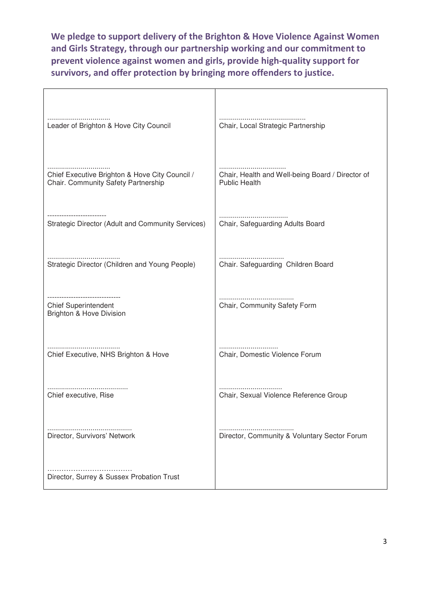We pledge to support delivery of the Brighton & Hove Violence Against Women and Girls Strategy, through our partnership working and our commitment to prevent violence against women and girls, provide high-quality support for survivors, and offer protection by bringing more offenders to justice.

 $\mathbf{r}$ 

| Leader of Brighton & Hove City Council                                                | Chair, Local Strategic Partnership                                       |
|---------------------------------------------------------------------------------------|--------------------------------------------------------------------------|
| Chief Executive Brighton & Hove City Council /<br>Chair. Community Safety Partnership | Chair, Health and Well-being Board / Director of<br><b>Public Health</b> |
| Strategic Director (Adult and Community Services)                                     | Chair, Safeguarding Adults Board                                         |
| Strategic Director (Children and Young People)                                        | Chair. Safeguarding Children Board                                       |
| <b>Chief Superintendent</b><br>Brighton & Hove Division                               | Chair, Community Safety Form                                             |
| Chief Executive, NHS Brighton & Hove                                                  | Chair, Domestic Violence Forum                                           |
| Chief executive, Rise                                                                 | Chair, Sexual Violence Reference Group                                   |
| Director, Survivors' Network                                                          | Director, Community & Voluntary Sector Forum                             |
| Director, Surrey & Sussex Probation Trust                                             |                                                                          |

 $\overline{\phantom{a}}$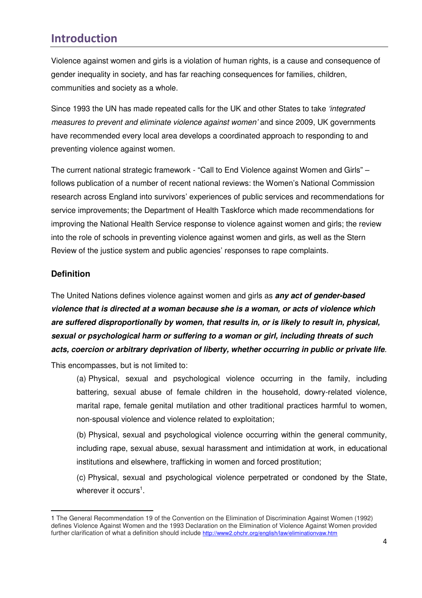# Introduction

Violence against women and girls is a violation of human rights, is a cause and consequence of gender inequality in society, and has far reaching consequences for families, children, communities and society as a whole.

Since 1993 the UN has made repeated calls for the UK and other States to take 'integrated measures to prevent and eliminate violence against women' and since 2009, UK governments have recommended every local area develops a coordinated approach to responding to and preventing violence against women.

The current national strategic framework - "Call to End Violence against Women and Girls" – follows publication of a number of recent national reviews: the Women's National Commission research across England into survivors' experiences of public services and recommendations for service improvements; the Department of Health Taskforce which made recommendations for improving the National Health Service response to violence against women and girls; the review into the role of schools in preventing violence against women and girls, as well as the Stern Review of the justice system and public agencies' responses to rape complaints.

### **Definition**

l

The United Nations defines violence against women and girls as **any act of gender-based violence that is directed at a woman because she is a woman, or acts of violence which are suffered disproportionally by women, that results in, or is likely to result in, physical, sexual or psychological harm or suffering to a woman or girl, including threats of such acts, coercion or arbitrary deprivation of liberty, whether occurring in public or private life**.

This encompasses, but is not limited to:

(a) Physical, sexual and psychological violence occurring in the family, including battering, sexual abuse of female children in the household, dowry-related violence, marital rape, female genital mutilation and other traditional practices harmful to women, non-spousal violence and violence related to exploitation;

(b) Physical, sexual and psychological violence occurring within the general community, including rape, sexual abuse, sexual harassment and intimidation at work, in educational institutions and elsewhere, trafficking in women and forced prostitution;

(c) Physical, sexual and psychological violence perpetrated or condoned by the State, wherever it occurs<sup>1</sup>.

<sup>1</sup> The General Recommendation 19 of the Convention on the Elimination of Discrimination Against Women (1992) defines Violence Against Women and the 1993 Declaration on the Elimination of Violence Against Women provided further clarification of what a definition should include http://www2.ohchr.org/english/law/eliminationyaw.htm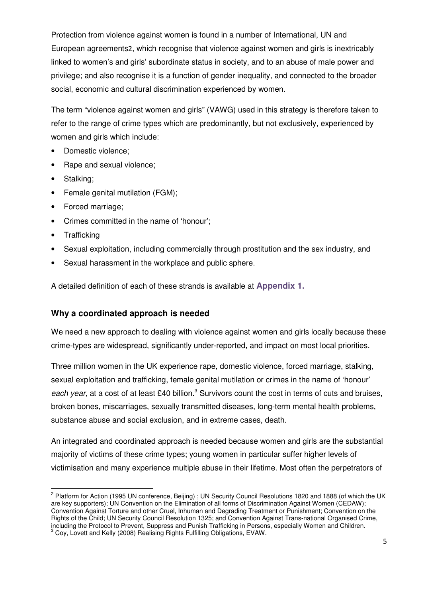Protection from violence against women is found in a number of International, UN and European agreements2, which recognise that violence against women and girls is inextricably linked to women's and girls' subordinate status in society, and to an abuse of male power and privilege; and also recognise it is a function of gender inequality, and connected to the broader social, economic and cultural discrimination experienced by women.

The term "violence against women and girls" (VAWG) used in this strategy is therefore taken to refer to the range of crime types which are predominantly, but not exclusively, experienced by women and girls which include:

- Domestic violence;
- Rape and sexual violence;
- Stalking;
- Female genital mutilation (FGM):
- Forced marriage;
- Crimes committed in the name of 'honour';
- Trafficking

l

- Sexual exploitation, including commercially through prostitution and the sex industry, and
- Sexual harassment in the workplace and public sphere.

A detailed definition of each of these strands is available at **Appendix 1.**

### **Why a coordinated approach is needed**

We need a new approach to dealing with violence against women and girls locally because these crime-types are widespread, significantly under-reported, and impact on most local priorities.

Three million women in the UK experience rape, domestic violence, forced marriage, stalking, sexual exploitation and trafficking, female genital mutilation or crimes in the name of 'honour' each year, at a cost of at least £40 billion.<sup>3</sup> Survivors count the cost in terms of cuts and bruises, broken bones, miscarriages, sexually transmitted diseases, long-term mental health problems, substance abuse and social exclusion, and in extreme cases, death.

An integrated and coordinated approach is needed because women and girls are the substantial majority of victims of these crime types; young women in particular suffer higher levels of victimisation and many experience multiple abuse in their lifetime. Most often the perpetrators of

<sup>&</sup>lt;sup>2</sup> Platform for Action (1995 UN conference, Beijing) ; UN Security Council Resolutions 1820 and 1888 (of which the UK are key supporters); UN Convention on the Elimination of all forms of Discrimination Against Women (CEDAW); Convention Against Torture and other Cruel, Inhuman and Degrading Treatment or Punishment; Convention on the Rights of the Child; UN Security Council Resolution 1325; and Convention Against Trans-national Organised Crime, including the Protocol to Prevent, Suppress and Punish Trafficking in Persons, especially Women and Children.<br><sup>3</sup> Coy, Lovett and Kelly (2008) Realising Rights Fulfilling Obligations, EVAW.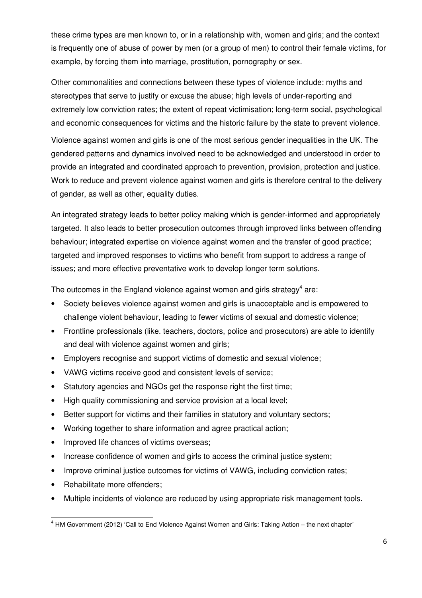these crime types are men known to, or in a relationship with, women and girls; and the context is frequently one of abuse of power by men (or a group of men) to control their female victims, for example, by forcing them into marriage, prostitution, pornography or sex.

Other commonalities and connections between these types of violence include: myths and stereotypes that serve to justify or excuse the abuse; high levels of under-reporting and extremely low conviction rates; the extent of repeat victimisation; long-term social, psychological and economic consequences for victims and the historic failure by the state to prevent violence.

Violence against women and girls is one of the most serious gender inequalities in the UK. The gendered patterns and dynamics involved need to be acknowledged and understood in order to provide an integrated and coordinated approach to prevention, provision, protection and justice. Work to reduce and prevent violence against women and girls is therefore central to the delivery of gender, as well as other, equality duties.

An integrated strategy leads to better policy making which is gender-informed and appropriately targeted. It also leads to better prosecution outcomes through improved links between offending behaviour; integrated expertise on violence against women and the transfer of good practice; targeted and improved responses to victims who benefit from support to address a range of issues; and more effective preventative work to develop longer term solutions.

The outcomes in the England violence against women and girls strategy<sup>4</sup> are:

- Society believes violence against women and girls is unacceptable and is empowered to challenge violent behaviour, leading to fewer victims of sexual and domestic violence;
- Frontline professionals (like. teachers, doctors, police and prosecutors) are able to identify and deal with violence against women and girls;
- Employers recognise and support victims of domestic and sexual violence;
- VAWG victims receive good and consistent levels of service;
- Statutory agencies and NGOs get the response right the first time;
- High quality commissioning and service provision at a local level;
- Better support for victims and their families in statutory and voluntary sectors;
- Working together to share information and agree practical action;
- Improved life chances of victims overseas;
- Increase confidence of women and girls to access the criminal justice system;
- Improve criminal justice outcomes for victims of VAWG, including conviction rates;
- Rehabilitate more offenders;

 $\overline{a}$ 

• Multiple incidents of violence are reduced by using appropriate risk management tools.

<sup>&</sup>lt;sup>4</sup> HM Government (2012) 'Call to End Violence Against Women and Girls: Taking Action – the next chapter'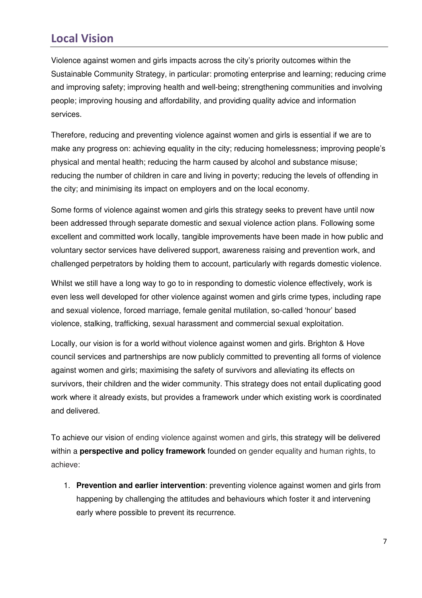# Local Vision

Violence against women and girls impacts across the city's priority outcomes within the Sustainable Community Strategy, in particular: promoting enterprise and learning; reducing crime and improving safety; improving health and well-being; strengthening communities and involving people; improving housing and affordability, and providing quality advice and information services.

Therefore, reducing and preventing violence against women and girls is essential if we are to make any progress on: achieving equality in the city; reducing homelessness; improving people's physical and mental health; reducing the harm caused by alcohol and substance misuse; reducing the number of children in care and living in poverty; reducing the levels of offending in the city; and minimising its impact on employers and on the local economy.

Some forms of violence against women and girls this strategy seeks to prevent have until now been addressed through separate domestic and sexual violence action plans. Following some excellent and committed work locally, tangible improvements have been made in how public and voluntary sector services have delivered support, awareness raising and prevention work, and challenged perpetrators by holding them to account, particularly with regards domestic violence.

Whilst we still have a long way to go to in responding to domestic violence effectively, work is even less well developed for other violence against women and girls crime types, including rape and sexual violence, forced marriage, female genital mutilation, so-called 'honour' based violence, stalking, trafficking, sexual harassment and commercial sexual exploitation.

Locally, our vision is for a world without violence against women and girls. Brighton & Hove council services and partnerships are now publicly committed to preventing all forms of violence against women and girls; maximising the safety of survivors and alleviating its effects on survivors, their children and the wider community. This strategy does not entail duplicating good work where it already exists, but provides a framework under which existing work is coordinated and delivered.

To achieve our vision of ending violence against women and girls, this strategy will be delivered within a **perspective and policy framework** founded on gender equality and human rights, to achieve:

1. **Prevention and earlier intervention**: preventing violence against women and girls from happening by challenging the attitudes and behaviours which foster it and intervening early where possible to prevent its recurrence.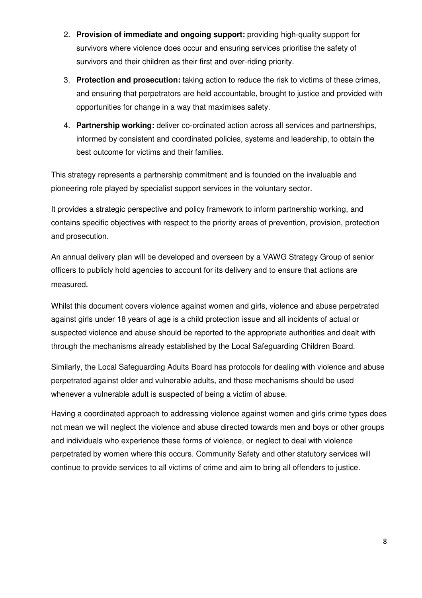- 2. **Provision of immediate and ongoing support:** providing high-quality support for survivors where violence does occur and ensuring services prioritise the safety of survivors and their children as their first and over-riding priority.
- 3. **Protection and prosecution:** taking action to reduce the risk to victims of these crimes, and ensuring that perpetrators are held accountable, brought to justice and provided with opportunities for change in a way that maximises safety.
- 4. **Partnership working:** deliver co-ordinated action across all services and partnerships, informed by consistent and coordinated policies, systems and leadership, to obtain the best outcome for victims and their families.

This strategy represents a partnership commitment and is founded on the invaluable and pioneering role played by specialist support services in the voluntary sector.

It provides a strategic perspective and policy framework to inform partnership working, and contains specific objectives with respect to the priority areas of prevention, provision, protection and prosecution.

An annual delivery plan will be developed and overseen by a VAWG Strategy Group of senior officers to publicly hold agencies to account for its delivery and to ensure that actions are measured**.**

Whilst this document covers violence against women and girls, violence and abuse perpetrated against girls under 18 years of age is a child protection issue and all incidents of actual or suspected violence and abuse should be reported to the appropriate authorities and dealt with through the mechanisms already established by the Local Safeguarding Children Board.

Similarly, the Local Safeguarding Adults Board has protocols for dealing with violence and abuse perpetrated against older and vulnerable adults, and these mechanisms should be used whenever a vulnerable adult is suspected of being a victim of abuse.

Having a coordinated approach to addressing violence against women and girls crime types does not mean we will neglect the violence and abuse directed towards men and boys or other groups and individuals who experience these forms of violence, or neglect to deal with violence perpetrated by women where this occurs. Community Safety and other statutory services will continue to provide services to all victims of crime and aim to bring all offenders to justice.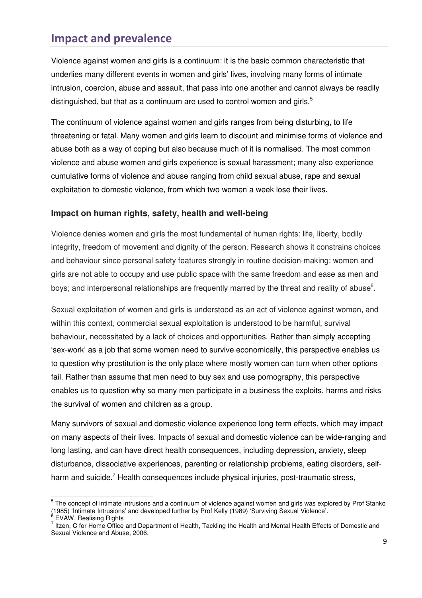## Impact and prevalence

Violence against women and girls is a continuum: it is the basic common characteristic that underlies many different events in women and girls' lives, involving many forms of intimate intrusion, coercion, abuse and assault, that pass into one another and cannot always be readily distinguished, but that as a continuum are used to control women and girls.<sup>5</sup>

The continuum of violence against women and girls ranges from being disturbing, to life threatening or fatal. Many women and girls learn to discount and minimise forms of violence and abuse both as a way of coping but also because much of it is normalised. The most common violence and abuse women and girls experience is sexual harassment; many also experience cumulative forms of violence and abuse ranging from child sexual abuse, rape and sexual exploitation to domestic violence, from which two women a week lose their lives.

### **Impact on human rights, safety, health and well-being**

Violence denies women and girls the most fundamental of human rights: life, liberty, bodily integrity, freedom of movement and dignity of the person. Research shows it constrains choices and behaviour since personal safety features strongly in routine decision-making: women and girls are not able to occupy and use public space with the same freedom and ease as men and boys; and interpersonal relationships are frequently marred by the threat and reality of abuse<sup>6</sup>.

Sexual exploitation of women and girls is understood as an act of violence against women, and within this context, commercial sexual exploitation is understood to be harmful, survival behaviour, necessitated by a lack of choices and opportunities. Rather than simply accepting 'sex-work' as a job that some women need to survive economically, this perspective enables us to question why prostitution is the only place where mostly women can turn when other options fail. Rather than assume that men need to buy sex and use pornography, this perspective enables us to question why so many men participate in a business the exploits, harms and risks the survival of women and children as a group.

Many survivors of sexual and domestic violence experience long term effects, which may impact on many aspects of their lives. Impacts of sexual and domestic violence can be wide-ranging and long lasting, and can have direct health consequences, including depression, anxiety, sleep disturbance, dissociative experiences, parenting or relationship problems, eating disorders, selfharm and suicide.<sup>7</sup> Health consequences include physical injuries, post-traumatic stress,

l

<sup>&</sup>lt;sup>5</sup> The concept of intimate intrusions and a continuum of violence against women and girls was explored by Prof Stanko (1985) 'Intimate Intrusions' and developed further by Prof Kelly (1989) 'Surviving Sexual Violence'. 6

EVAW, Realising Rights

<sup>&</sup>lt;sup>7</sup> Itzen, C for Home Office and Department of Health, Tackling the Health and Mental Health Effects of Domestic and Sexual Violence and Abuse, 2006.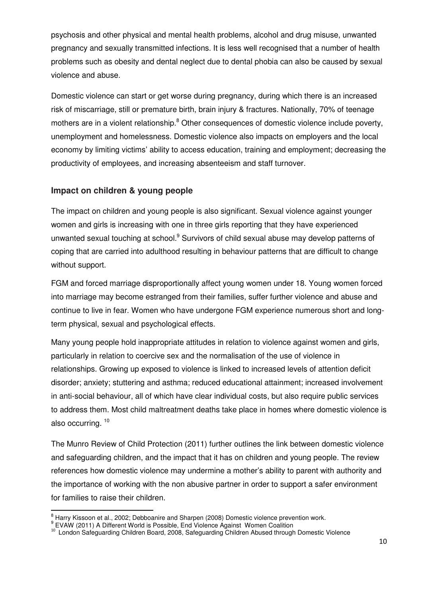psychosis and other physical and mental health problems, alcohol and drug misuse, unwanted pregnancy and sexually transmitted infections. It is less well recognised that a number of health problems such as obesity and dental neglect due to dental phobia can also be caused by sexual violence and abuse.

Domestic violence can start or get worse during pregnancy, during which there is an increased risk of miscarriage, still or premature birth, brain injury & fractures. Nationally, 70% of teenage mothers are in a violent relationship.<sup>8</sup> Other consequences of domestic violence include poverty, unemployment and homelessness. Domestic violence also impacts on employers and the local economy by limiting victims' ability to access education, training and employment; decreasing the productivity of employees, and increasing absenteeism and staff turnover.

### **Impact on children & young people**

The impact on children and young people is also significant. Sexual violence against younger women and girls is increasing with one in three girls reporting that they have experienced unwanted sexual touching at school.<sup>9</sup> Survivors of child sexual abuse may develop patterns of coping that are carried into adulthood resulting in behaviour patterns that are difficult to change without support.

FGM and forced marriage disproportionally affect young women under 18. Young women forced into marriage may become estranged from their families, suffer further violence and abuse and continue to live in fear. Women who have undergone FGM experience numerous short and longterm physical, sexual and psychological effects.

Many young people hold inappropriate attitudes in relation to violence against women and girls, particularly in relation to coercive sex and the normalisation of the use of violence in relationships. Growing up exposed to violence is linked to increased levels of attention deficit disorder; anxiety; stuttering and asthma; reduced educational attainment; increased involvement in anti-social behaviour, all of which have clear individual costs, but also require public services to address them. Most child maltreatment deaths take place in homes where domestic violence is also occurring.<sup>10</sup>

The Munro Review of Child Protection (2011) further outlines the link between domestic violence and safeguarding children, and the impact that it has on children and young people. The review references how domestic violence may undermine a mother's ability to parent with authority and the importance of working with the non abusive partner in order to support a safer environment for families to raise their children.

 $<sup>8</sup>$  Harry Kissoon et al., 2002; Debboanire and Sharpen (2008) Domestic violence prevention work.</sup>

<sup>&</sup>lt;sup>9</sup> EVAW (2011) A Different World is Possible, End Violence Ágainst Women Coalition<br><sup>10</sup> London Safeguarding Children Board, 2008, Safeguarding Children Abused through Domestic Violence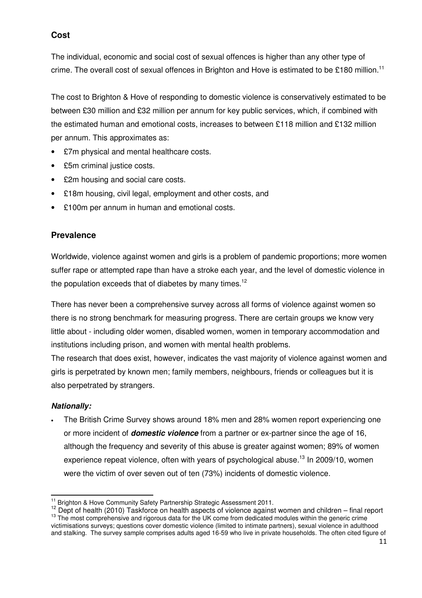### **Cost**

The individual, economic and social cost of sexual offences is higher than any other type of crime. The overall cost of sexual offences in Brighton and Hove is estimated to be £180 million.<sup>11</sup>

The cost to Brighton & Hove of responding to domestic violence is conservatively estimated to be between £30 million and £32 million per annum for key public services, which, if combined with the estimated human and emotional costs, increases to between £118 million and £132 million per annum. This approximates as:

- £7m physical and mental healthcare costs.
- £5m criminal justice costs.
- £2m housing and social care costs.
- £18m housing, civil legal, employment and other costs, and
- £100m per annum in human and emotional costs.

### **Prevalence**

Worldwide, violence against women and girls is a problem of pandemic proportions; more women suffer rape or attempted rape than have a stroke each year, and the level of domestic violence in the population exceeds that of diabetes by many times.<sup>12</sup>

There has never been a comprehensive survey across all forms of violence against women so there is no strong benchmark for measuring progress. There are certain groups we know very little about - including older women, disabled women, women in temporary accommodation and institutions including prison, and women with mental health problems.

The research that does exist, however, indicates the vast majority of violence against women and girls is perpetrated by known men; family members, neighbours, friends or colleagues but it is also perpetrated by strangers.

### **Nationally:**

l

• The British Crime Survey shows around 18% men and 28% women report experiencing one or more incident of **domestic violence** from a partner or ex-partner since the age of 16, although the frequency and severity of this abuse is greater against women; 89% of women experience repeat violence, often with years of psychological abuse.<sup>13</sup> In 2009/10, women were the victim of over seven out of ten (73%) incidents of domestic violence.

<sup>&</sup>lt;sup>11</sup> Brighton & Hove Community Safety Partnership Strategic Assessment 2011.

<sup>&</sup>lt;sup>12</sup> Dept of health (2010) Taskforce on health aspects of violence against women and children – final report

<sup>&</sup>lt;sup>13</sup> The most comprehensive and rigorous data for the UK come from dedicated modules within the generic crime victimisations surveys; questions cover domestic violence (limited to intimate partners), sexual violence in adulthood and stalking. The survey sample comprises adults aged 16-59 who live in private households. The often cited figure of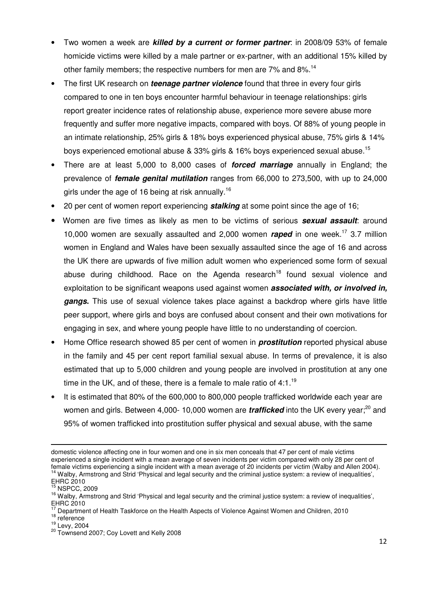- Two women a week are **killed by a current or former partner**: in 2008/09 53% of female homicide victims were killed by a male partner or ex-partner, with an additional 15% killed by other family members; the respective numbers for men are 7% and 8%.<sup>14</sup>
- The first UK research on **teenage partner violence** found that three in every four girls compared to one in ten boys encounter harmful behaviour in teenage relationships: girls report greater incidence rates of relationship abuse, experience more severe abuse more frequently and suffer more negative impacts, compared with boys. Of 88% of young people in an intimate relationship, 25% girls & 18% boys experienced physical abuse, 75% girls & 14% boys experienced emotional abuse & 33% girls & 16% boys experienced sexual abuse.<sup>15</sup>
- There are at least 5,000 to 8,000 cases of **forced marriage** annually in England; the prevalence of **female genital mutilation** ranges from 66,000 to 273,500, with up to 24,000 girls under the age of 16 being at risk annually.<sup>16</sup>
- 20 per cent of women report experiencing **stalking** at some point since the age of 16;
- Women are five times as likely as men to be victims of serious **sexual assault**: around 10,000 women are sexually assaulted and 2,000 women **raped** in one week.<sup>17</sup> 3.7 million women in England and Wales have been sexually assaulted since the age of 16 and across the UK there are upwards of five million adult women who experienced some form of sexual abuse during childhood. Race on the Agenda research<sup>18</sup> found sexual violence and exploitation to be significant weapons used against women **associated with, or involved in, gangs.** This use of sexual violence takes place against a backdrop where girls have little peer support, where girls and boys are confused about consent and their own motivations for engaging in sex, and where young people have little to no understanding of coercion.
- Home Office research showed 85 per cent of women in **prostitution** reported physical abuse in the family and 45 per cent report familial sexual abuse. In terms of prevalence, it is also estimated that up to 5,000 children and young people are involved in prostitution at any one time in the UK, and of these, there is a female to male ratio of 4:1.<sup>19</sup>
- It is estimated that 80% of the 600,000 to 800,000 people trafficked worldwide each year are women and girls. Between 4,000- 10,000 women are **trafficked** into the UK every year;<sup>20</sup> and 95% of women trafficked into prostitution suffer physical and sexual abuse, with the same

domestic violence affecting one in four women and one in six men conceals that 47 per cent of male victims experienced a single incident with a mean average of seven incidents per victim compared with only 28 per cent of female victims experiencing a single incident with a mean average of 20 incidents per victim (Walby and Allen 2004). <sup>14</sup> Walby, Armstrong and Strid 'Physical and legal security and the criminal justice system: a review of inequalities', EHRC 2010

 $5$  NSPCC, 2009

<sup>16</sup> Walby, Armstrong and Strid 'Physical and legal security and the criminal justice system: a review of inequalities', EHRC 2010

 $\frac{17}{12}$  Department of Health Taskforce on the Health Aspects of Violence Against Women and Children, 2010

<sup>&</sup>lt;sup>18</sup> reference

<sup>19</sup> Levy, 2004

 $20$  Townsend 2007; Coy Lovett and Kelly 2008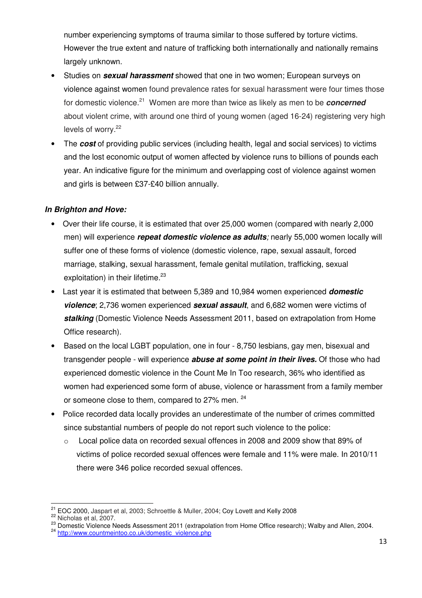number experiencing symptoms of trauma similar to those suffered by torture victims. However the true extent and nature of trafficking both internationally and nationally remains largely unknown.

- Studies on **sexual harassment** showed that one in two women; European surveys on violence against women found prevalence rates for sexual harassment were four times those for domestic violence.<sup>21</sup> Women are more than twice as likely as men to be **concerned** about violent crime, with around one third of young women (aged 16-24) registering very high levels of worry.<sup>22</sup>
- The **cost** of providing public services (including health, legal and social services) to victims and the lost economic output of women affected by violence runs to billions of pounds each year. An indicative figure for the minimum and overlapping cost of violence against women and girls is between £37-£40 billion annually.

### **In Brighton and Hove:**

- Over their life course, it is estimated that over 25,000 women (compared with nearly 2,000 men) will experience **repeat domestic violence as adults**; nearly 55,000 women locally will suffer one of these forms of violence (domestic violence, rape, sexual assault, forced marriage, stalking, sexual harassment, female genital mutilation, trafficking, sexual exploitation) in their lifetime.<sup>23</sup>
- Last year it is estimated that between 5,389 and 10,984 women experienced **domestic violence**; 2,736 women experienced **sexual assault**, and 6,682 women were victims of **stalking** (Domestic Violence Needs Assessment 2011, based on extrapolation from Home Office research).
- Based on the local LGBT population, one in four 8,750 lesbians, gay men, bisexual and transgender people - will experience **abuse at some point in their lives.** Of those who had experienced domestic violence in the Count Me In Too research, 36% who identified as women had experienced some form of abuse, violence or harassment from a family member or someone close to them, compared to 27% men. <sup>24</sup>
- Police recorded data locally provides an underestimate of the number of crimes committed since substantial numbers of people do not report such violence to the police:
	- o Local police data on recorded sexual offences in 2008 and 2009 show that 89% of victims of police recorded sexual offences were female and 11% were male. In 2010/11 there were 346 police recorded sexual offences.

 $^{21}_{\sim}$  EOC 2000, Jaspart et al, 2003; Schroettle & Muller, 2004; Coy Lovett and Kelly 2008

 $22$  Nicholas et al, 2007.

<sup>23</sup> Domestic Violence Needs Assessment 2011 (extrapolation from Home Office research); Walby and Allen, 2004.

<sup>&</sup>lt;sup>24</sup> http://www.countmeintoo.co.uk/domestic\_violence.php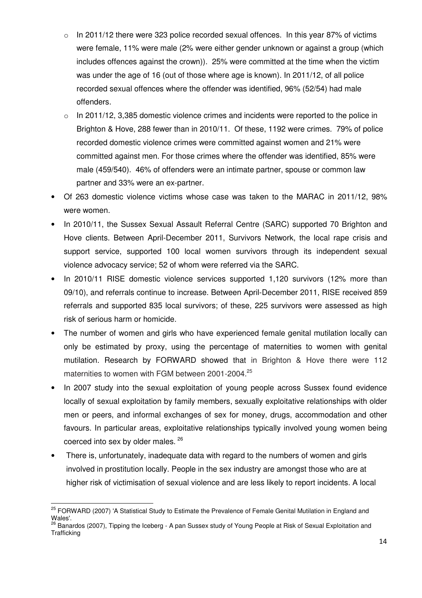- o In 2011/12 there were 323 police recorded sexual offences. In this year 87% of victims were female, 11% were male (2% were either gender unknown or against a group (which includes offences against the crown)). 25% were committed at the time when the victim was under the age of 16 (out of those where age is known). In 2011/12, of all police recorded sexual offences where the offender was identified, 96% (52/54) had male offenders.
- $\circ$  In 2011/12, 3,385 domestic violence crimes and incidents were reported to the police in Brighton & Hove, 288 fewer than in 2010/11. Of these, 1192 were crimes. 79% of police recorded domestic violence crimes were committed against women and 21% were committed against men. For those crimes where the offender was identified, 85% were male (459/540). 46% of offenders were an intimate partner, spouse or common law partner and 33% were an ex-partner.
- Of 263 domestic violence victims whose case was taken to the MARAC in 2011/12, 98% were women.
- In 2010/11, the Sussex Sexual Assault Referral Centre (SARC) supported 70 Brighton and Hove clients. Between April-December 2011, Survivors Network, the local rape crisis and support service, supported 100 local women survivors through its independent sexual violence advocacy service; 52 of whom were referred via the SARC.
- In 2010/11 RISE domestic violence services supported 1,120 survivors (12% more than 09/10), and referrals continue to increase. Between April-December 2011, RISE received 859 referrals and supported 835 local survivors; of these, 225 survivors were assessed as high risk of serious harm or homicide.
- The number of women and girls who have experienced female genital mutilation locally can only be estimated by proxy, using the percentage of maternities to women with genital mutilation. Research by FORWARD showed that in Brighton & Hove there were 112 maternities to women with FGM between 2001-2004.<sup>25</sup>
- In 2007 study into the sexual exploitation of young people across Sussex found evidence locally of sexual exploitation by family members, sexually exploitative relationships with older men or peers, and informal exchanges of sex for money, drugs, accommodation and other favours. In particular areas, exploitative relationships typically involved young women being coerced into sex by older males. <sup>26</sup>
- There is, unfortunately, inadequate data with regard to the numbers of women and girls involved in prostitution locally. People in the sex industry are amongst those who are at higher risk of victimisation of sexual violence and are less likely to report incidents. A local

<sup>&</sup>lt;sup>25</sup> FORWARD (2007) 'A Statistical Study to Estimate the Prevalence of Female Genital Mutilation in England and Wales'.

<sup>&</sup>lt;sup>26</sup> Banardos (2007), Tipping the Iceberg - A pan Sussex study of Young People at Risk of Sexual Exploitation and **Trafficking**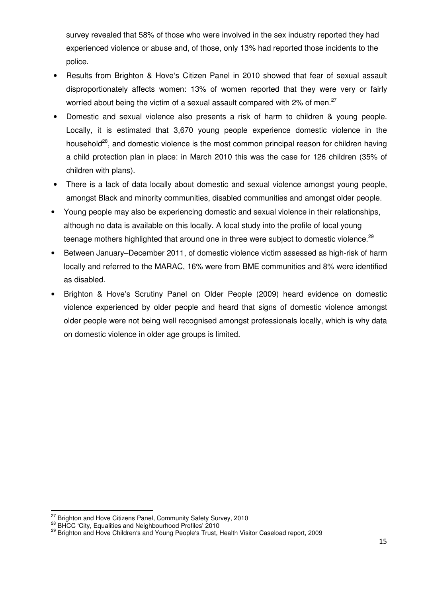survey revealed that 58% of those who were involved in the sex industry reported they had experienced violence or abuse and, of those, only 13% had reported those incidents to the police.

- Results from Brighton & Hove's Citizen Panel in 2010 showed that fear of sexual assault disproportionately affects women: 13% of women reported that they were very or fairly worried about being the victim of a sexual assault compared with 2% of men.<sup>27</sup>
- Domestic and sexual violence also presents a risk of harm to children & young people. Locally, it is estimated that 3,670 young people experience domestic violence in the household<sup>28</sup>, and domestic violence is the most common principal reason for children having a child protection plan in place: in March 2010 this was the case for 126 children (35% of children with plans).
- There is a lack of data locally about domestic and sexual violence amongst young people, amongst Black and minority communities, disabled communities and amongst older people.
- Young people may also be experiencing domestic and sexual violence in their relationships, although no data is available on this locally. A local study into the profile of local young teenage mothers highlighted that around one in three were subject to domestic violence.<sup>29</sup>
- Between January–December 2011, of domestic violence victim assessed as high-risk of harm locally and referred to the MARAC, 16% were from BME communities and 8% were identified as disabled.
- Brighton & Hove's Scrutiny Panel on Older People (2009) heard evidence on domestic violence experienced by older people and heard that signs of domestic violence amongst older people were not being well recognised amongst professionals locally, which is why data on domestic violence in older age groups is limited.

l

 $27$  Brighton and Hove Citizens Panel, Community Safety Survey, 2010

 $^{28}_{18}$  BHCC 'City, Equalities and Neighbourhood Profiles' 2010

<sup>29</sup> Bridd St., Equantic and Hove Children's and Young People's Trust, Health Visitor Caseload report, 2009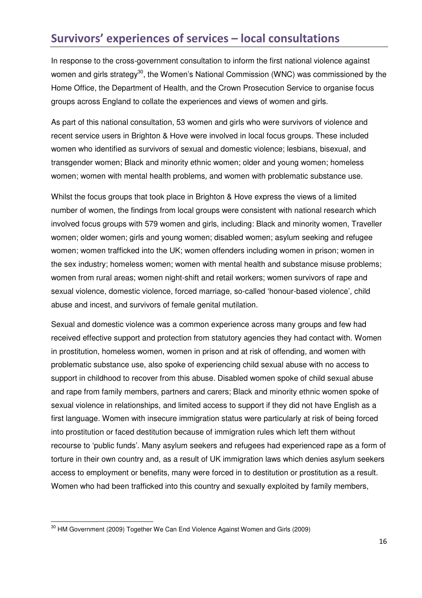# Survivors' experiences of services – local consultations

In response to the cross-government consultation to inform the first national violence against women and girls strategy<sup>30</sup>, the Women's National Commission (WNC) was commissioned by the Home Office, the Department of Health, and the Crown Prosecution Service to organise focus groups across England to collate the experiences and views of women and girls.

As part of this national consultation, 53 women and girls who were survivors of violence and recent service users in Brighton & Hove were involved in local focus groups. These included women who identified as survivors of sexual and domestic violence; lesbians, bisexual, and transgender women; Black and minority ethnic women; older and young women; homeless women; women with mental health problems, and women with problematic substance use.

Whilst the focus groups that took place in Brighton & Hove express the views of a limited number of women, the findings from local groups were consistent with national research which involved focus groups with 579 women and girls, including: Black and minority women, Traveller women; older women; girls and young women; disabled women; asylum seeking and refugee women; women trafficked into the UK; women offenders including women in prison; women in the sex industry; homeless women; women with mental health and substance misuse problems; women from rural areas; women night-shift and retail workers; women survivors of rape and sexual violence, domestic violence, forced marriage, so-called 'honour-based violence', child abuse and incest, and survivors of female genital mutilation.

Sexual and domestic violence was a common experience across many groups and few had received effective support and protection from statutory agencies they had contact with. Women in prostitution, homeless women, women in prison and at risk of offending, and women with problematic substance use, also spoke of experiencing child sexual abuse with no access to support in childhood to recover from this abuse. Disabled women spoke of child sexual abuse and rape from family members, partners and carers; Black and minority ethnic women spoke of sexual violence in relationships, and limited access to support if they did not have English as a first language. Women with insecure immigration status were particularly at risk of being forced into prostitution or faced destitution because of immigration rules which left them without recourse to 'public funds'. Many asylum seekers and refugees had experienced rape as a form of torture in their own country and, as a result of UK immigration laws which denies asylum seekers access to employment or benefits, many were forced in to destitution or prostitution as a result. Women who had been trafficked into this country and sexually exploited by family members,

<sup>&</sup>lt;sup>30</sup> HM Government (2009) Together We Can End Violence Against Women and Girls (2009)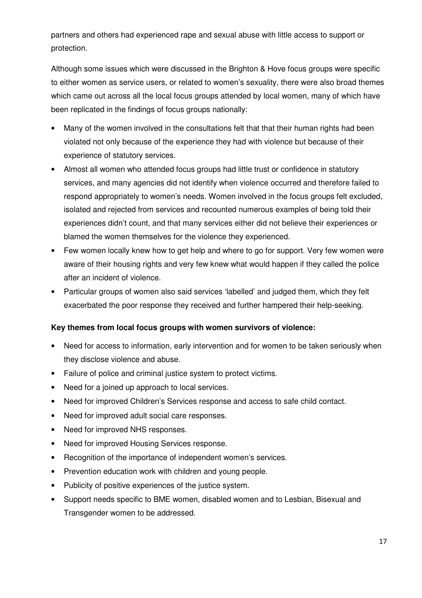partners and others had experienced rape and sexual abuse with little access to support or protection.

Although some issues which were discussed in the Brighton & Hove focus groups were specific to either women as service users, or related to women's sexuality, there were also broad themes which came out across all the local focus groups attended by local women, many of which have been replicated in the findings of focus groups nationally:

- Many of the women involved in the consultations felt that that their human rights had been violated not only because of the experience they had with violence but because of their experience of statutory services.
- Almost all women who attended focus groups had little trust or confidence in statutory services, and many agencies did not identify when violence occurred and therefore failed to respond appropriately to women's needs. Women involved in the focus groups felt excluded, isolated and rejected from services and recounted numerous examples of being told their experiences didn't count, and that many services either did not believe their experiences or blamed the women themselves for the violence they experienced.
- Few women locally knew how to get help and where to go for support. Very few women were aware of their housing rights and very few knew what would happen if they called the police after an incident of violence.
- Particular groups of women also said services 'labelled' and judged them, which they felt exacerbated the poor response they received and further hampered their help-seeking.

### **Key themes from local focus groups with women survivors of violence:**

- Need for access to information, early intervention and for women to be taken seriously when they disclose violence and abuse.
- Failure of police and criminal justice system to protect victims.
- Need for a joined up approach to local services.
- Need for improved Children's Services response and access to safe child contact.
- Need for improved adult social care responses.
- Need for improved NHS responses.
- Need for improved Housing Services response.
- Recognition of the importance of independent women's services.
- Prevention education work with children and young people.
- Publicity of positive experiences of the justice system.
- Support needs specific to BME women, disabled women and to Lesbian, Bisexual and Transgender women to be addressed.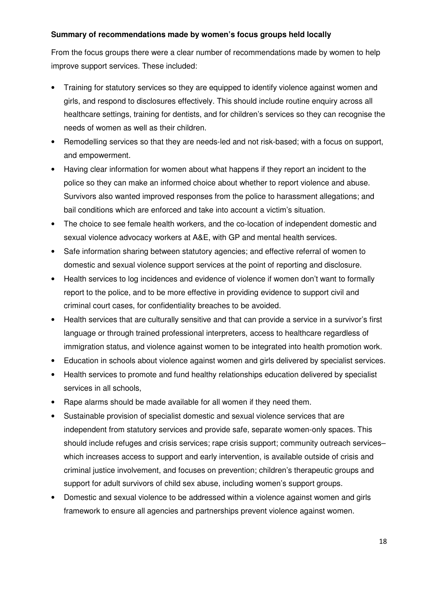### **Summary of recommendations made by women's focus groups held locally**

From the focus groups there were a clear number of recommendations made by women to help improve support services. These included:

- Training for statutory services so they are equipped to identify violence against women and girls, and respond to disclosures effectively. This should include routine enquiry across all healthcare settings, training for dentists, and for children's services so they can recognise the needs of women as well as their children.
- Remodelling services so that they are needs-led and not risk-based; with a focus on support, and empowerment.
- Having clear information for women about what happens if they report an incident to the police so they can make an informed choice about whether to report violence and abuse. Survivors also wanted improved responses from the police to harassment allegations; and bail conditions which are enforced and take into account a victim's situation.
- The choice to see female health workers, and the co-location of independent domestic and sexual violence advocacy workers at A&E, with GP and mental health services.
- Safe information sharing between statutory agencies; and effective referral of women to domestic and sexual violence support services at the point of reporting and disclosure.
- Health services to log incidences and evidence of violence if women don't want to formally report to the police, and to be more effective in providing evidence to support civil and criminal court cases, for confidentiality breaches to be avoided.
- Health services that are culturally sensitive and that can provide a service in a survivor's first language or through trained professional interpreters, access to healthcare regardless of immigration status, and violence against women to be integrated into health promotion work.
- Education in schools about violence against women and girls delivered by specialist services.
- Health services to promote and fund healthy relationships education delivered by specialist services in all schools,
- Rape alarms should be made available for all women if they need them.
- Sustainable provision of specialist domestic and sexual violence services that are independent from statutory services and provide safe, separate women-only spaces. This should include refuges and crisis services; rape crisis support; community outreach services– which increases access to support and early intervention, is available outside of crisis and criminal justice involvement, and focuses on prevention; children's therapeutic groups and support for adult survivors of child sex abuse, including women's support groups.
- Domestic and sexual violence to be addressed within a violence against women and girls framework to ensure all agencies and partnerships prevent violence against women.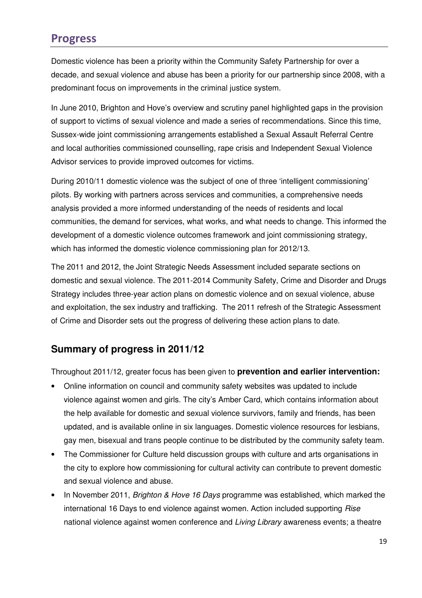### Progress

Domestic violence has been a priority within the Community Safety Partnership for over a decade, and sexual violence and abuse has been a priority for our partnership since 2008, with a predominant focus on improvements in the criminal justice system.

In June 2010, Brighton and Hove's overview and scrutiny panel highlighted gaps in the provision of support to victims of sexual violence and made a series of recommendations. Since this time, Sussex-wide joint commissioning arrangements established a Sexual Assault Referral Centre and local authorities commissioned counselling, rape crisis and Independent Sexual Violence Advisor services to provide improved outcomes for victims.

During 2010/11 domestic violence was the subject of one of three 'intelligent commissioning' pilots. By working with partners across services and communities, a comprehensive needs analysis provided a more informed understanding of the needs of residents and local communities, the demand for services, what works, and what needs to change. This informed the development of a domestic violence outcomes framework and joint commissioning strategy, which has informed the domestic violence commissioning plan for 2012/13.

The 2011 and 2012, the Joint Strategic Needs Assessment included separate sections on domestic and sexual violence. The 2011-2014 Community Safety, Crime and Disorder and Drugs Strategy includes three-year action plans on domestic violence and on sexual violence, abuse and exploitation, the sex industry and trafficking. The 2011 refresh of the Strategic Assessment of Crime and Disorder sets out the progress of delivering these action plans to date.

### **Summary of progress in 2011/12**

Throughout 2011/12, greater focus has been given to **prevention and earlier intervention:**

- Online information on council and community safety websites was updated to include violence against women and girls. The city's Amber Card, which contains information about the help available for domestic and sexual violence survivors, family and friends, has been updated, and is available online in six languages. Domestic violence resources for lesbians, gay men, bisexual and trans people continue to be distributed by the community safety team.
- The Commissioner for Culture held discussion groups with culture and arts organisations in the city to explore how commissioning for cultural activity can contribute to prevent domestic and sexual violence and abuse.
- In November 2011, Brighton & Hove 16 Days programme was established, which marked the international 16 Days to end violence against women. Action included supporting Rise national violence against women conference and *Living Library* awareness events; a theatre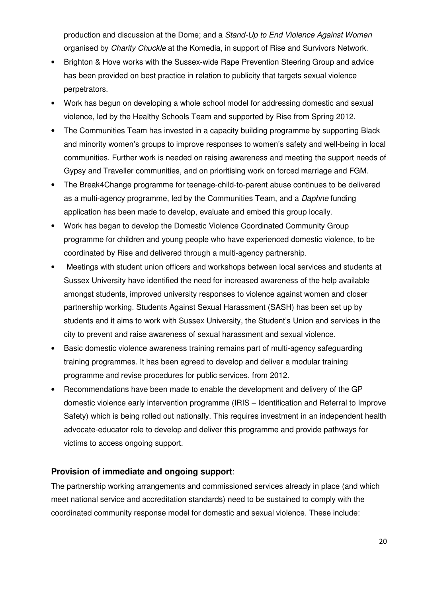production and discussion at the Dome; and a Stand-Up to End Violence Against Women organised by Charity Chuckle at the Komedia, in support of Rise and Survivors Network.

- Brighton & Hove works with the Sussex-wide Rape Prevention Steering Group and advice has been provided on best practice in relation to publicity that targets sexual violence perpetrators.
- Work has begun on developing a whole school model for addressing domestic and sexual violence, led by the Healthy Schools Team and supported by Rise from Spring 2012.
- The Communities Team has invested in a capacity building programme by supporting Black and minority women's groups to improve responses to women's safety and well-being in local communities. Further work is needed on raising awareness and meeting the support needs of Gypsy and Traveller communities, and on prioritising work on forced marriage and FGM.
- The Break4Change programme for teenage-child-to-parent abuse continues to be delivered as a multi-agency programme, led by the Communities Team, and a Daphne funding application has been made to develop, evaluate and embed this group locally.
- Work has began to develop the Domestic Violence Coordinated Community Group programme for children and young people who have experienced domestic violence, to be coordinated by Rise and delivered through a multi-agency partnership.
- Meetings with student union officers and workshops between local services and students at Sussex University have identified the need for increased awareness of the help available amongst students, improved university responses to violence against women and closer partnership working. Students Against Sexual Harassment (SASH) has been set up by students and it aims to work with Sussex University, the Student's Union and services in the city to prevent and raise awareness of sexual harassment and sexual violence.
- Basic domestic violence awareness training remains part of multi-agency safeguarding training programmes. It has been agreed to develop and deliver a modular training programme and revise procedures for public services, from 2012.
- Recommendations have been made to enable the development and delivery of the GP domestic violence early intervention programme (IRIS – Identification and Referral to Improve Safety) which is being rolled out nationally. This requires investment in an independent health advocate-educator role to develop and deliver this programme and provide pathways for victims to access ongoing support.

### **Provision of immediate and ongoing support**:

The partnership working arrangements and commissioned services already in place (and which meet national service and accreditation standards) need to be sustained to comply with the coordinated community response model for domestic and sexual violence. These include: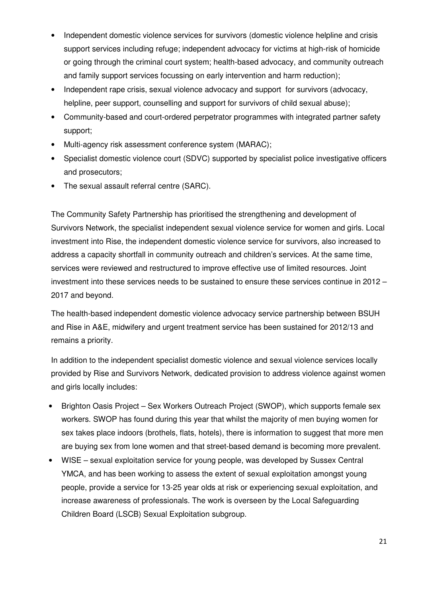- Independent domestic violence services for survivors (domestic violence helpline and crisis support services including refuge; independent advocacy for victims at high-risk of homicide or going through the criminal court system; health-based advocacy, and community outreach and family support services focussing on early intervention and harm reduction);
- Independent rape crisis, sexual violence advocacy and support for survivors (advocacy, helpline, peer support, counselling and support for survivors of child sexual abuse);
- Community-based and court-ordered perpetrator programmes with integrated partner safety support;
- Multi-agency risk assessment conference system (MARAC);
- Specialist domestic violence court (SDVC) supported by specialist police investigative officers and prosecutors;
- The sexual assault referral centre (SARC).

The Community Safety Partnership has prioritised the strengthening and development of Survivors Network, the specialist independent sexual violence service for women and girls. Local investment into Rise, the independent domestic violence service for survivors, also increased to address a capacity shortfall in community outreach and children's services. At the same time, services were reviewed and restructured to improve effective use of limited resources. Joint investment into these services needs to be sustained to ensure these services continue in 2012 – 2017 and beyond.

The health-based independent domestic violence advocacy service partnership between BSUH and Rise in A&E, midwifery and urgent treatment service has been sustained for 2012/13 and remains a priority.

In addition to the independent specialist domestic violence and sexual violence services locally provided by Rise and Survivors Network, dedicated provision to address violence against women and girls locally includes:

- Brighton Oasis Project Sex Workers Outreach Project (SWOP), which supports female sex workers. SWOP has found during this year that whilst the majority of men buying women for sex takes place indoors (brothels, flats, hotels), there is information to suggest that more men are buying sex from lone women and that street-based demand is becoming more prevalent.
- WISE sexual exploitation service for young people, was developed by Sussex Central YMCA, and has been working to assess the extent of sexual exploitation amongst young people, provide a service for 13-25 year olds at risk or experiencing sexual exploitation, and increase awareness of professionals. The work is overseen by the Local Safeguarding Children Board (LSCB) Sexual Exploitation subgroup.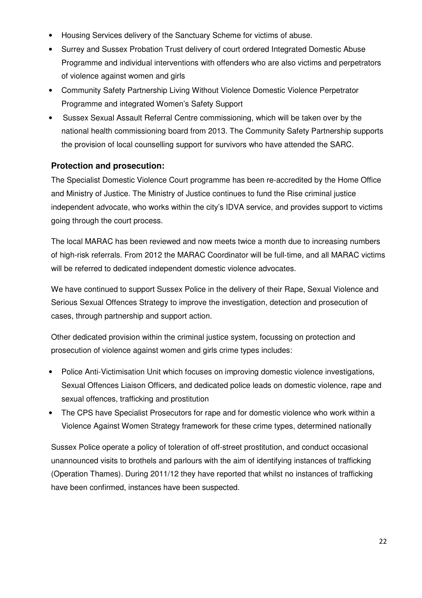- Housing Services delivery of the Sanctuary Scheme for victims of abuse.
- Surrey and Sussex Probation Trust delivery of court ordered Integrated Domestic Abuse Programme and individual interventions with offenders who are also victims and perpetrators of violence against women and girls
- Community Safety Partnership Living Without Violence Domestic Violence Perpetrator Programme and integrated Women's Safety Support
- Sussex Sexual Assault Referral Centre commissioning, which will be taken over by the national health commissioning board from 2013. The Community Safety Partnership supports the provision of local counselling support for survivors who have attended the SARC.

### **Protection and prosecution:**

The Specialist Domestic Violence Court programme has been re-accredited by the Home Office and Ministry of Justice. The Ministry of Justice continues to fund the Rise criminal justice independent advocate, who works within the city's IDVA service, and provides support to victims going through the court process.

The local MARAC has been reviewed and now meets twice a month due to increasing numbers of high-risk referrals. From 2012 the MARAC Coordinator will be full-time, and all MARAC victims will be referred to dedicated independent domestic violence advocates.

We have continued to support Sussex Police in the delivery of their Rape, Sexual Violence and Serious Sexual Offences Strategy to improve the investigation, detection and prosecution of cases, through partnership and support action.

Other dedicated provision within the criminal justice system, focussing on protection and prosecution of violence against women and girls crime types includes:

- Police Anti-Victimisation Unit which focuses on improving domestic violence investigations, Sexual Offences Liaison Officers, and dedicated police leads on domestic violence, rape and sexual offences, trafficking and prostitution
- The CPS have Specialist Prosecutors for rape and for domestic violence who work within a Violence Against Women Strategy framework for these crime types, determined nationally

Sussex Police operate a policy of toleration of off-street prostitution, and conduct occasional unannounced visits to brothels and parlours with the aim of identifying instances of trafficking (Operation Thames). During 2011/12 they have reported that whilst no instances of trafficking have been confirmed, instances have been suspected.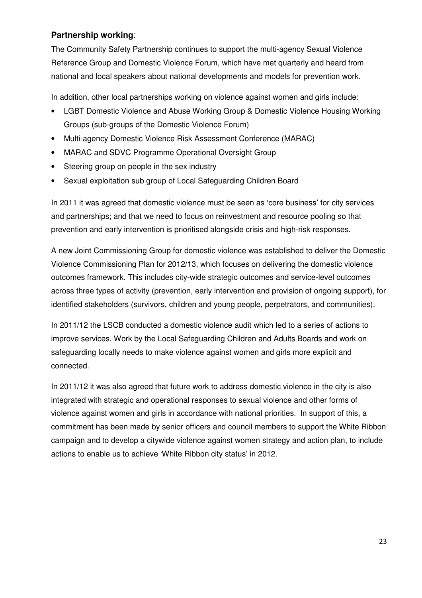### **Partnership working**:

The Community Safety Partnership continues to support the multi-agency Sexual Violence Reference Group and Domestic Violence Forum, which have met quarterly and heard from national and local speakers about national developments and models for prevention work.

In addition, other local partnerships working on violence against women and girls include:

- LGBT Domestic Violence and Abuse Working Group & Domestic Violence Housing Working Groups (sub-groups of the Domestic Violence Forum)
- Multi-agency Domestic Violence Risk Assessment Conference (MARAC)
- MARAC and SDVC Programme Operational Oversight Group
- Steering group on people in the sex industry
- Sexual exploitation sub group of Local Safeguarding Children Board

In 2011 it was agreed that domestic violence must be seen as 'core business' for city services and partnerships; and that we need to focus on reinvestment and resource pooling so that prevention and early intervention is prioritised alongside crisis and high-risk responses.

A new Joint Commissioning Group for domestic violence was established to deliver the Domestic Violence Commissioning Plan for 2012/13, which focuses on delivering the domestic violence outcomes framework. This includes city-wide strategic outcomes and service-level outcomes across three types of activity (prevention, early intervention and provision of ongoing support), for identified stakeholders (survivors, children and young people, perpetrators, and communities).

In 2011/12 the LSCB conducted a domestic violence audit which led to a series of actions to improve services. Work by the Local Safeguarding Children and Adults Boards and work on safeguarding locally needs to make violence against women and girls more explicit and connected.

In 2011/12 it was also agreed that future work to address domestic violence in the city is also integrated with strategic and operational responses to sexual violence and other forms of violence against women and girls in accordance with national priorities. In support of this, a commitment has been made by senior officers and council members to support the White Ribbon campaign and to develop a citywide violence against women strategy and action plan, to include actions to enable us to achieve 'White Ribbon city status' in 2012.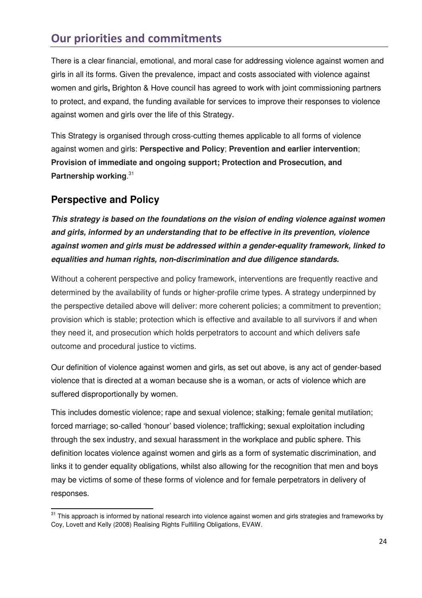# Our priorities and commitments

There is a clear financial, emotional, and moral case for addressing violence against women and girls in all its forms. Given the prevalence, impact and costs associated with violence against women and girls**,** Brighton & Hove council has agreed to work with joint commissioning partners to protect, and expand, the funding available for services to improve their responses to violence against women and girls over the life of this Strategy**.**

This Strategy is organised through cross-cutting themes applicable to all forms of violence against women and girls: **Perspective and Policy**; **Prevention and earlier intervention**; **Provision of immediate and ongoing support; Protection and Prosecution, and Partnership working**. 31

### **Perspective and Policy**

l

**This strategy is based on the foundations on the vision of ending violence against women and girls, informed by an understanding that to be effective in its prevention, violence against women and girls must be addressed within a gender-equality framework, linked to equalities and human rights, non-discrimination and due diligence standards.** 

Without a coherent perspective and policy framework, interventions are frequently reactive and determined by the availability of funds or higher-profile crime types. A strategy underpinned by the perspective detailed above will deliver: more coherent policies; a commitment to prevention; provision which is stable; protection which is effective and available to all survivors if and when they need it, and prosecution which holds perpetrators to account and which delivers safe outcome and procedural justice to victims.

Our definition of violence against women and girls, as set out above, is any act of gender-based violence that is directed at a woman because she is a woman, or acts of violence which are suffered disproportionally by women.

This includes domestic violence; rape and sexual violence; stalking; female genital mutilation; forced marriage; so-called 'honour' based violence; trafficking; sexual exploitation including through the sex industry, and sexual harassment in the workplace and public sphere. This definition locates violence against women and girls as a form of systematic discrimination, and links it to gender equality obligations, whilst also allowing for the recognition that men and boys may be victims of some of these forms of violence and for female perpetrators in delivery of responses.

 $31$  This approach is informed by national research into violence against women and girls strategies and frameworks by Coy, Lovett and Kelly (2008) Realising Rights Fulfilling Obligations, EVAW.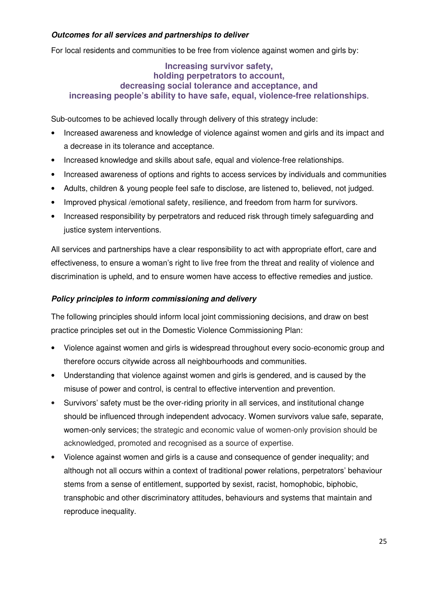### **Outcomes for all services and partnerships to deliver**

For local residents and communities to be free from violence against women and girls by:

#### **Increasing survivor safety, holding perpetrators to account, decreasing social tolerance and acceptance, and increasing people's ability to have safe, equal, violence-free relationships**.

Sub-outcomes to be achieved locally through delivery of this strategy include:

- Increased awareness and knowledge of violence against women and girls and its impact and a decrease in its tolerance and acceptance.
- Increased knowledge and skills about safe, equal and violence-free relationships.
- Increased awareness of options and rights to access services by individuals and communities
- Adults, children & young people feel safe to disclose, are listened to, believed, not judged.
- Improved physical /emotional safety, resilience, and freedom from harm for survivors.
- Increased responsibility by perpetrators and reduced risk through timely safeguarding and justice system interventions.

All services and partnerships have a clear responsibility to act with appropriate effort, care and effectiveness, to ensure a woman's right to live free from the threat and reality of violence and discrimination is upheld, and to ensure women have access to effective remedies and justice.

#### **Policy principles to inform commissioning and delivery**

The following principles should inform local joint commissioning decisions, and draw on best practice principles set out in the Domestic Violence Commissioning Plan:

- Violence against women and girls is widespread throughout every socio-economic group and therefore occurs citywide across all neighbourhoods and communities.
- Understanding that violence against women and girls is gendered, and is caused by the misuse of power and control, is central to effective intervention and prevention.
- Survivors' safety must be the over-riding priority in all services, and institutional change should be influenced through independent advocacy. Women survivors value safe, separate, women-only services; the strategic and economic value of women-only provision should be acknowledged, promoted and recognised as a source of expertise.
- Violence against women and girls is a cause and consequence of gender inequality; and although not all occurs within a context of traditional power relations, perpetrators' behaviour stems from a sense of entitlement, supported by sexist, racist, homophobic, biphobic, transphobic and other discriminatory attitudes, behaviours and systems that maintain and reproduce inequality.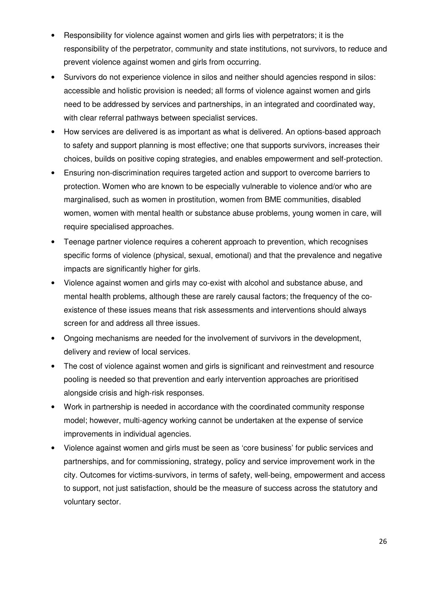- Responsibility for violence against women and girls lies with perpetrators; it is the responsibility of the perpetrator, community and state institutions, not survivors, to reduce and prevent violence against women and girls from occurring.
- Survivors do not experience violence in silos and neither should agencies respond in silos: accessible and holistic provision is needed; all forms of violence against women and girls need to be addressed by services and partnerships, in an integrated and coordinated way, with clear referral pathways between specialist services.
- How services are delivered is as important as what is delivered. An options-based approach to safety and support planning is most effective; one that supports survivors, increases their choices, builds on positive coping strategies, and enables empowerment and self-protection.
- Ensuring non-discrimination requires targeted action and support to overcome barriers to protection. Women who are known to be especially vulnerable to violence and/or who are marginalised, such as women in prostitution, women from BME communities, disabled women, women with mental health or substance abuse problems, young women in care, will require specialised approaches.
- Teenage partner violence requires a coherent approach to prevention, which recognises specific forms of violence (physical, sexual, emotional) and that the prevalence and negative impacts are significantly higher for girls.
- Violence against women and girls may co-exist with alcohol and substance abuse, and mental health problems, although these are rarely causal factors; the frequency of the coexistence of these issues means that risk assessments and interventions should always screen for and address all three issues.
- Ongoing mechanisms are needed for the involvement of survivors in the development, delivery and review of local services.
- The cost of violence against women and girls is significant and reinvestment and resource pooling is needed so that prevention and early intervention approaches are prioritised alongside crisis and high-risk responses.
- Work in partnership is needed in accordance with the coordinated community response model; however, multi-agency working cannot be undertaken at the expense of service improvements in individual agencies.
- Violence against women and girls must be seen as 'core business' for public services and partnerships, and for commissioning, strategy, policy and service improvement work in the city. Outcomes for victims-survivors, in terms of safety, well-being, empowerment and access to support, not just satisfaction, should be the measure of success across the statutory and voluntary sector.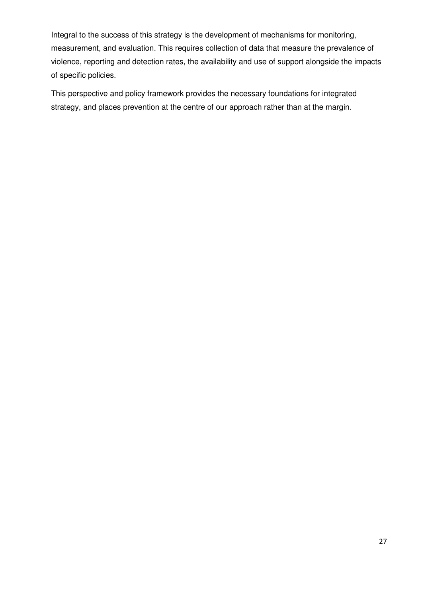Integral to the success of this strategy is the development of mechanisms for monitoring, measurement, and evaluation. This requires collection of data that measure the prevalence of violence, reporting and detection rates, the availability and use of support alongside the impacts of specific policies.

This perspective and policy framework provides the necessary foundations for integrated strategy, and places prevention at the centre of our approach rather than at the margin.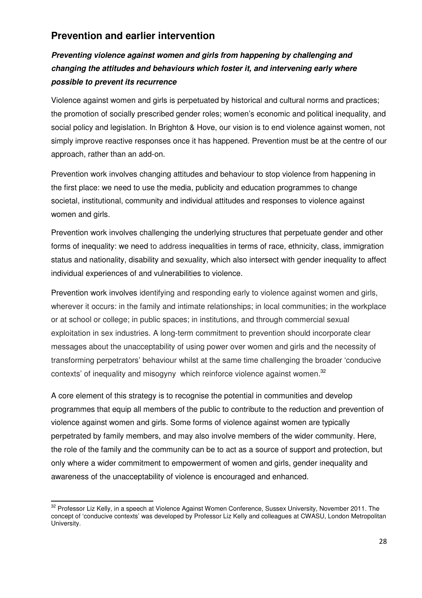### **Prevention and earlier intervention**

### **Preventing violence against women and girls from happening by challenging and changing the attitudes and behaviours which foster it, and intervening early where possible to prevent its recurrence**

Violence against women and girls is perpetuated by historical and cultural norms and practices; the promotion of socially prescribed gender roles; women's economic and political inequality, and social policy and legislation. In Brighton & Hove, our vision is to end violence against women, not simply improve reactive responses once it has happened. Prevention must be at the centre of our approach, rather than an add-on.

Prevention work involves changing attitudes and behaviour to stop violence from happening in the first place: we need to use the media, publicity and education programmes to change societal, institutional, community and individual attitudes and responses to violence against women and girls.

Prevention work involves challenging the underlying structures that perpetuate gender and other forms of inequality: we need to address inequalities in terms of race, ethnicity, class, immigration status and nationality, disability and sexuality, which also intersect with gender inequality to affect individual experiences of and vulnerabilities to violence.

Prevention work involves identifying and responding early to violence against women and girls, wherever it occurs: in the family and intimate relationships; in local communities; in the workplace or at school or college; in public spaces; in institutions, and through commercial sexual exploitation in sex industries. A long-term commitment to prevention should incorporate clear messages about the unacceptability of using power over women and girls and the necessity of transforming perpetrators' behaviour whilst at the same time challenging the broader 'conducive contexts' of inequality and misogyny which reinforce violence against women. $32$ 

A core element of this strategy is to recognise the potential in communities and develop programmes that equip all members of the public to contribute to the reduction and prevention of violence against women and girls. Some forms of violence against women are typically perpetrated by family members, and may also involve members of the wider community. Here, the role of the family and the community can be to act as a source of support and protection, but only where a wider commitment to empowerment of women and girls, gender inequality and awareness of the unacceptability of violence is encouraged and enhanced.

l

<sup>&</sup>lt;sup>32</sup> Professor Liz Kelly, in a speech at Violence Against Women Conference, Sussex University, November 2011. The concept of 'conducive contexts' was developed by Professor Liz Kelly and colleagues at CWASU, London Metropolitan University.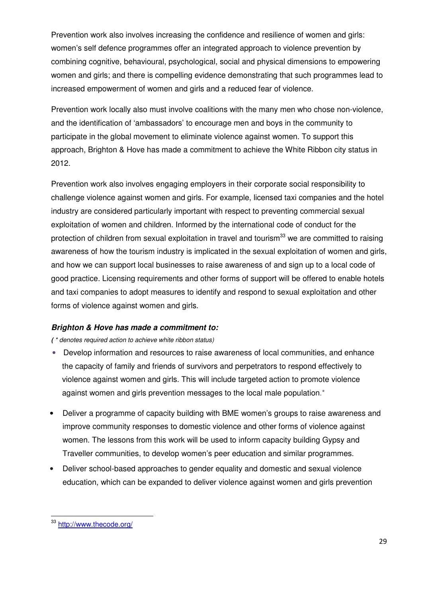Prevention work also involves increasing the confidence and resilience of women and girls: women's self defence programmes offer an integrated approach to violence prevention by combining cognitive, behavioural, psychological, social and physical dimensions to empowering women and girls; and there is compelling evidence demonstrating that such programmes lead to increased empowerment of women and girls and a reduced fear of violence.

Prevention work locally also must involve coalitions with the many men who chose non-violence, and the identification of 'ambassadors' to encourage men and boys in the community to participate in the global movement to eliminate violence against women. To support this approach, Brighton & Hove has made a commitment to achieve the White Ribbon city status in 2012.

Prevention work also involves engaging employers in their corporate social responsibility to challenge violence against women and girls. For example, licensed taxi companies and the hotel industry are considered particularly important with respect to preventing commercial sexual exploitation of women and children. Informed by the international code of conduct for the protection of children from sexual exploitation in travel and tourism $33$  we are committed to raising awareness of how the tourism industry is implicated in the sexual exploitation of women and girls, and how we can support local businesses to raise awareness of and sign up to a local code of good practice. Licensing requirements and other forms of support will be offered to enable hotels and taxi companies to adopt measures to identify and respond to sexual exploitation and other forms of violence against women and girls.

### **Brighton & Hove has made a commitment to:**

**(** \* denotes required action to achieve white ribbon status)

- Develop information and resources to raise awareness of local communities, and enhance the capacity of family and friends of survivors and perpetrators to respond effectively to violence against women and girls. This will include targeted action to promote violence against women and girls prevention messages to the local male population.\*
- Deliver a programme of capacity building with BME women's groups to raise awareness and improve community responses to domestic violence and other forms of violence against women. The lessons from this work will be used to inform capacity building Gypsy and Traveller communities, to develop women's peer education and similar programmes.
- Deliver school-based approaches to gender equality and domestic and sexual violence education, which can be expanded to deliver violence against women and girls prevention

l

<sup>33</sup> http://www.thecode.org/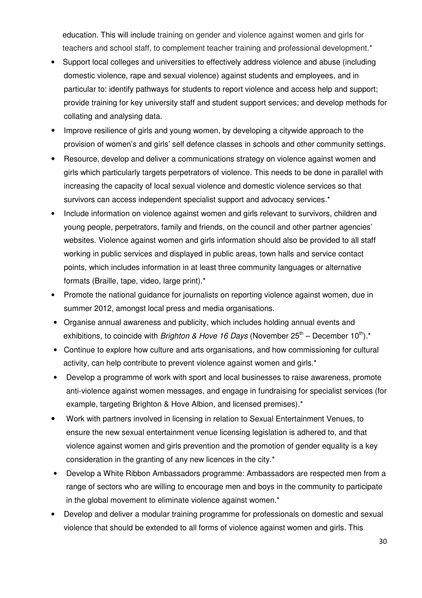education. This will include training on gender and violence against women and girls for teachers and school staff, to complement teacher training and professional development.\*

- Support local colleges and universities to effectively address violence and abuse (including domestic violence, rape and sexual violence) against students and employees, and in particular to: identify pathways for students to report violence and access help and support; provide training for key university staff and student support services; and develop methods for collating and analysing data.
- Improve resilience of girls and young women, by developing a citywide approach to the provision of women's and girls' self defence classes in schools and other community settings.
- Resource, develop and deliver a communications strategy on violence against women and girls which particularly targets perpetrators of violence. This needs to be done in parallel with increasing the capacity of local sexual violence and domestic violence services so that survivors can access independent specialist support and advocacy services.\*
- Include information on violence against women and girls relevant to survivors, children and young people, perpetrators, family and friends, on the council and other partner agencies' websites. Violence against women and girls information should also be provided to all staff working in public services and displayed in public areas, town halls and service contact points, which includes information in at least three community languages or alternative formats (Braille, tape, video, large print).\*
- Promote the national quidance for journalists on reporting violence against women, due in summer 2012, amongst local press and media organisations.
- Organise annual awareness and publicity, which includes holding annual events and exhibitions, to coincide with Brighton & Hove 16 Days (November  $25^{th}$  – December 10<sup>th</sup>).<sup>\*</sup>
- Continue to explore how culture and arts organisations, and how commissioning for cultural activity, can help contribute to prevent violence against women and girls.\*
- Develop a programme of work with sport and local businesses to raise awareness, promote anti-violence against women messages, and engage in fundraising for specialist services (for example, targeting Brighton & Hove Albion, and licensed premises).\*
- Work with partners involved in licensing in relation to Sexual Entertainment Venues, to ensure the new sexual entertainment venue licensing legislation is adhered to, and that violence against women and girls prevention and the promotion of gender equality is a key consideration in the granting of any new licences in the city.\*
- Develop a White Ribbon Ambassadors programme: Ambassadors are respected men from a range of sectors who are willing to encourage men and boys in the community to participate in the global movement to eliminate violence against women.\*
- Develop and deliver a modular training programme for professionals on domestic and sexual violence that should be extended to all forms of violence against women and girls. This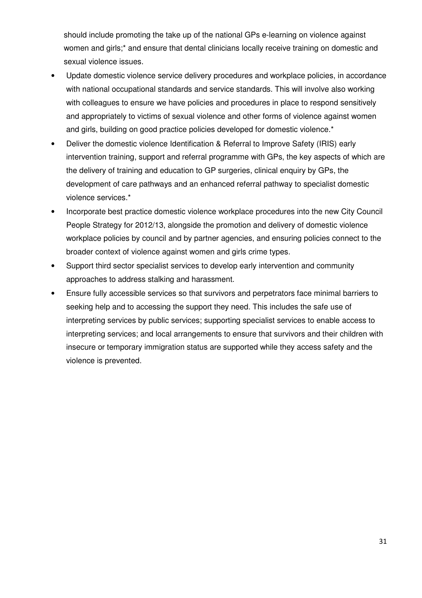should include promoting the take up of the national GPs e-learning on violence against women and girls;\* and ensure that dental clinicians locally receive training on domestic and sexual violence issues.

- Update domestic violence service delivery procedures and workplace policies, in accordance with national occupational standards and service standards. This will involve also working with colleagues to ensure we have policies and procedures in place to respond sensitively and appropriately to victims of sexual violence and other forms of violence against women and girls, building on good practice policies developed for domestic violence.\*
- Deliver the domestic violence Identification & Referral to Improve Safety (IRIS) early intervention training, support and referral programme with GPs, the key aspects of which are the delivery of training and education to GP surgeries, clinical enquiry by GPs, the development of care pathways and an enhanced referral pathway to specialist domestic violence services.\*
- Incorporate best practice domestic violence workplace procedures into the new City Council People Strategy for 2012/13, alongside the promotion and delivery of domestic violence workplace policies by council and by partner agencies, and ensuring policies connect to the broader context of violence against women and girls crime types.
- Support third sector specialist services to develop early intervention and community approaches to address stalking and harassment.
- Ensure fully accessible services so that survivors and perpetrators face minimal barriers to seeking help and to accessing the support they need. This includes the safe use of interpreting services by public services; supporting specialist services to enable access to interpreting services; and local arrangements to ensure that survivors and their children with insecure or temporary immigration status are supported while they access safety and the violence is prevented.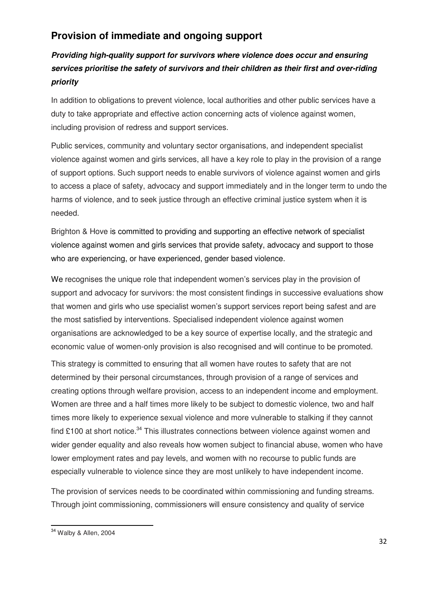### **Provision of immediate and ongoing support**

### **Providing high-quality support for survivors where violence does occur and ensuring services prioritise the safety of survivors and their children as their first and over-riding priority**

In addition to obligations to prevent violence, local authorities and other public services have a duty to take appropriate and effective action concerning acts of violence against women, including provision of redress and support services.

Public services, community and voluntary sector organisations, and independent specialist violence against women and girls services, all have a key role to play in the provision of a range of support options. Such support needs to enable survivors of violence against women and girls to access a place of safety, advocacy and support immediately and in the longer term to undo the harms of violence, and to seek justice through an effective criminal justice system when it is needed.

Brighton & Hove is committed to providing and supporting an effective network of specialist violence against women and girls services that provide safety, advocacy and support to those who are experiencing, or have experienced, gender based violence.

We recognises the unique role that independent women's services play in the provision of support and advocacy for survivors: the most consistent findings in successive evaluations show that women and girls who use specialist women's support services report being safest and are the most satisfied by interventions. Specialised independent violence against women organisations are acknowledged to be a key source of expertise locally, and the strategic and economic value of women-only provision is also recognised and will continue to be promoted.

This strategy is committed to ensuring that all women have routes to safety that are not determined by their personal circumstances, through provision of a range of services and creating options through welfare provision, access to an independent income and employment. Women are three and a half times more likely to be subject to domestic violence, two and half times more likely to experience sexual violence and more vulnerable to stalking if they cannot find £100 at short notice.<sup>34</sup> This illustrates connections between violence against women and wider gender equality and also reveals how women subject to financial abuse, women who have lower employment rates and pay levels, and women with no recourse to public funds are especially vulnerable to violence since they are most unlikely to have independent income.

The provision of services needs to be coordinated within commissioning and funding streams. Through joint commissioning, commissioners will ensure consistency and quality of service

<sup>34</sup> Walby & Allen, 2004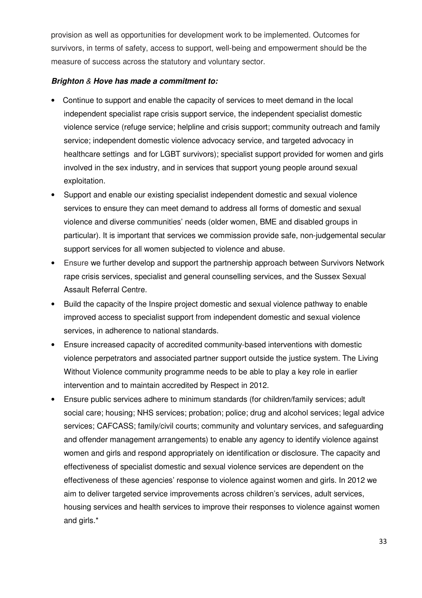provision as well as opportunities for development work to be implemented. Outcomes for survivors, in terms of safety, access to support, well-being and empowerment should be the measure of success across the statutory and voluntary sector.

#### **Brighton** & **Hove has made a commitment to:**

- Continue to support and enable the capacity of services to meet demand in the local independent specialist rape crisis support service, the independent specialist domestic violence service (refuge service; helpline and crisis support; community outreach and family service; independent domestic violence advocacy service, and targeted advocacy in healthcare settings and for LGBT survivors); specialist support provided for women and girls involved in the sex industry, and in services that support young people around sexual exploitation.
- Support and enable our existing specialist independent domestic and sexual violence services to ensure they can meet demand to address all forms of domestic and sexual violence and diverse communities' needs (older women, BME and disabled groups in particular). It is important that services we commission provide safe, non-judgemental secular support services for all women subjected to violence and abuse.
- Ensure we further develop and support the partnership approach between Survivors Network rape crisis services, specialist and general counselling services, and the Sussex Sexual Assault Referral Centre.
- Build the capacity of the Inspire project domestic and sexual violence pathway to enable improved access to specialist support from independent domestic and sexual violence services, in adherence to national standards.
- Ensure increased capacity of accredited community-based interventions with domestic violence perpetrators and associated partner support outside the justice system. The Living Without Violence community programme needs to be able to play a key role in earlier intervention and to maintain accredited by Respect in 2012.
- Ensure public services adhere to minimum standards (for children/family services; adult social care; housing; NHS services; probation; police; drug and alcohol services; legal advice services; CAFCASS; family/civil courts; community and voluntary services, and safeguarding and offender management arrangements) to enable any agency to identify violence against women and girls and respond appropriately on identification or disclosure. The capacity and effectiveness of specialist domestic and sexual violence services are dependent on the effectiveness of these agencies' response to violence against women and girls. In 2012 we aim to deliver targeted service improvements across children's services, adult services, housing services and health services to improve their responses to violence against women and girls.\*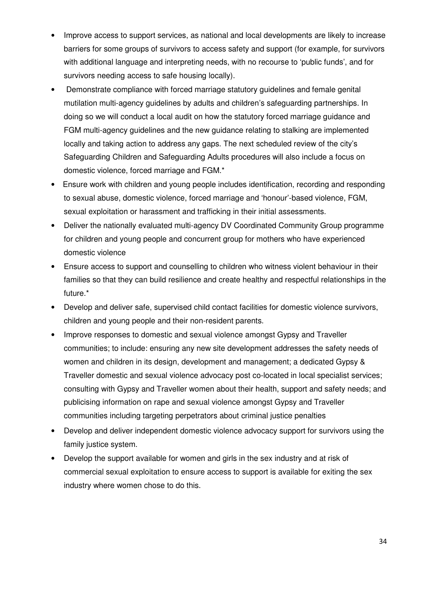- Improve access to support services, as national and local developments are likely to increase barriers for some groups of survivors to access safety and support (for example, for survivors with additional language and interpreting needs, with no recourse to 'public funds', and for survivors needing access to safe housing locally).
- Demonstrate compliance with forced marriage statutory guidelines and female genital mutilation multi-agency guidelines by adults and children's safeguarding partnerships. In doing so we will conduct a local audit on how the statutory forced marriage guidance and FGM multi-agency guidelines and the new guidance relating to stalking are implemented locally and taking action to address any gaps. The next scheduled review of the city's Safeguarding Children and Safeguarding Adults procedures will also include a focus on domestic violence, forced marriage and FGM.\*
- Ensure work with children and young people includes identification, recording and responding to sexual abuse, domestic violence, forced marriage and 'honour'-based violence, FGM, sexual exploitation or harassment and trafficking in their initial assessments.
- Deliver the nationally evaluated multi-agency DV Coordinated Community Group programme for children and young people and concurrent group for mothers who have experienced domestic violence
- Ensure access to support and counselling to children who witness violent behaviour in their families so that they can build resilience and create healthy and respectful relationships in the future.\*
- Develop and deliver safe, supervised child contact facilities for domestic violence survivors, children and young people and their non-resident parents.
- Improve responses to domestic and sexual violence amongst Gypsy and Traveller communities; to include: ensuring any new site development addresses the safety needs of women and children in its design, development and management; a dedicated Gypsy & Traveller domestic and sexual violence advocacy post co-located in local specialist services; consulting with Gypsy and Traveller women about their health, support and safety needs; and publicising information on rape and sexual violence amongst Gypsy and Traveller communities including targeting perpetrators about criminal justice penalties
- Develop and deliver independent domestic violence advocacy support for survivors using the family justice system.
- Develop the support available for women and girls in the sex industry and at risk of commercial sexual exploitation to ensure access to support is available for exiting the sex industry where women chose to do this.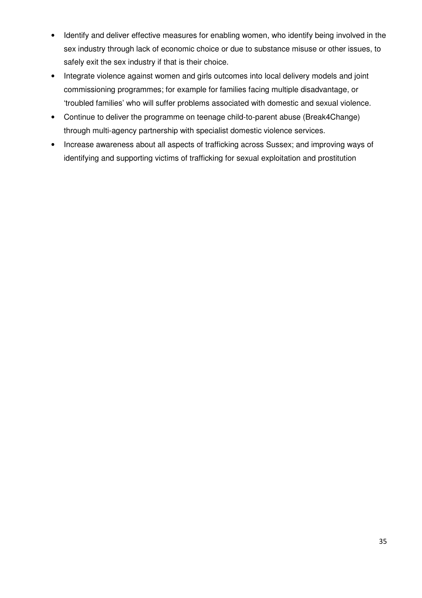- Identify and deliver effective measures for enabling women, who identify being involved in the sex industry through lack of economic choice or due to substance misuse or other issues, to safely exit the sex industry if that is their choice.
- Integrate violence against women and girls outcomes into local delivery models and joint commissioning programmes; for example for families facing multiple disadvantage, or 'troubled families' who will suffer problems associated with domestic and sexual violence.
- Continue to deliver the programme on teenage child-to-parent abuse (Break4Change) through multi-agency partnership with specialist domestic violence services.
- Increase awareness about all aspects of trafficking across Sussex; and improving ways of identifying and supporting victims of trafficking for sexual exploitation and prostitution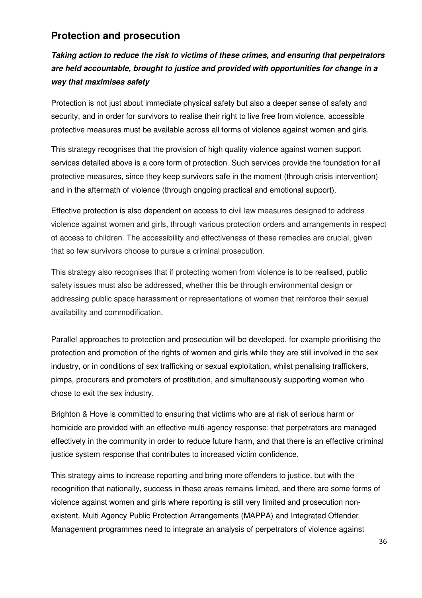### **Protection and prosecution**

### **Taking action to reduce the risk to victims of these crimes, and ensuring that perpetrators are held accountable, brought to justice and provided with opportunities for change in a way that maximises safety**

Protection is not just about immediate physical safety but also a deeper sense of safety and security, and in order for survivors to realise their right to live free from violence, accessible protective measures must be available across all forms of violence against women and girls.

This strategy recognises that the provision of high quality violence against women support services detailed above is a core form of protection. Such services provide the foundation for all protective measures, since they keep survivors safe in the moment (through crisis intervention) and in the aftermath of violence (through ongoing practical and emotional support).

Effective protection is also dependent on access to civil law measures designed to address violence against women and girls, through various protection orders and arrangements in respect of access to children. The accessibility and effectiveness of these remedies are crucial, given that so few survivors choose to pursue a criminal prosecution.

This strategy also recognises that if protecting women from violence is to be realised, public safety issues must also be addressed, whether this be through environmental design or addressing public space harassment or representations of women that reinforce their sexual availability and commodification.

Parallel approaches to protection and prosecution will be developed, for example prioritising the protection and promotion of the rights of women and girls while they are still involved in the sex industry, or in conditions of sex trafficking or sexual exploitation, whilst penalising traffickers, pimps, procurers and promoters of prostitution, and simultaneously supporting women who chose to exit the sex industry.

Brighton & Hove is committed to ensuring that victims who are at risk of serious harm or homicide are provided with an effective multi-agency response; that perpetrators are managed effectively in the community in order to reduce future harm, and that there is an effective criminal justice system response that contributes to increased victim confidence.

This strategy aims to increase reporting and bring more offenders to justice, but with the recognition that nationally, success in these areas remains limited, and there are some forms of violence against women and girls where reporting is still very limited and prosecution nonexistent. Multi Agency Public Protection Arrangements (MAPPA) and Integrated Offender Management programmes need to integrate an analysis of perpetrators of violence against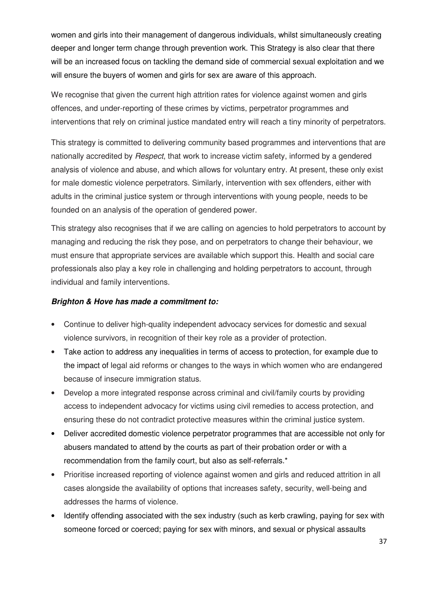women and girls into their management of dangerous individuals, whilst simultaneously creating deeper and longer term change through prevention work. This Strategy is also clear that there will be an increased focus on tackling the demand side of commercial sexual exploitation and we will ensure the buyers of women and girls for sex are aware of this approach.

We recognise that given the current high attrition rates for violence against women and girls offences, and under-reporting of these crimes by victims, perpetrator programmes and interventions that rely on criminal justice mandated entry will reach a tiny minority of perpetrators.

This strategy is committed to delivering community based programmes and interventions that are nationally accredited by Respect, that work to increase victim safety, informed by a gendered analysis of violence and abuse, and which allows for voluntary entry. At present, these only exist for male domestic violence perpetrators. Similarly, intervention with sex offenders, either with adults in the criminal justice system or through interventions with young people, needs to be founded on an analysis of the operation of gendered power.

This strategy also recognises that if we are calling on agencies to hold perpetrators to account by managing and reducing the risk they pose, and on perpetrators to change their behaviour, we must ensure that appropriate services are available which support this. Health and social care professionals also play a key role in challenging and holding perpetrators to account, through individual and family interventions.

#### **Brighton & Hove has made a commitment to:**

- Continue to deliver high-quality independent advocacy services for domestic and sexual violence survivors, in recognition of their key role as a provider of protection.
- Take action to address any inequalities in terms of access to protection, for example due to the impact of legal aid reforms or changes to the ways in which women who are endangered because of insecure immigration status.
- Develop a more integrated response across criminal and civil/family courts by providing access to independent advocacy for victims using civil remedies to access protection, and ensuring these do not contradict protective measures within the criminal justice system.
- Deliver accredited domestic violence perpetrator programmes that are accessible not only for abusers mandated to attend by the courts as part of their probation order or with a recommendation from the family court, but also as self-referrals.\*
- Prioritise increased reporting of violence against women and girls and reduced attrition in all cases alongside the availability of options that increases safety, security, well-being and addresses the harms of violence.
- Identify offending associated with the sex industry (such as kerb crawling, paying for sex with someone forced or coerced; paying for sex with minors, and sexual or physical assaults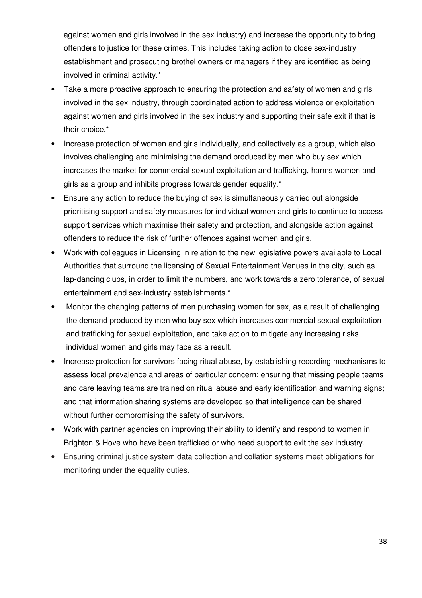against women and girls involved in the sex industry) and increase the opportunity to bring offenders to justice for these crimes. This includes taking action to close sex-industry establishment and prosecuting brothel owners or managers if they are identified as being involved in criminal activity.\*

- Take a more proactive approach to ensuring the protection and safety of women and girls involved in the sex industry, through coordinated action to address violence or exploitation against women and girls involved in the sex industry and supporting their safe exit if that is their choice.\*
- Increase protection of women and girls individually, and collectively as a group, which also involves challenging and minimising the demand produced by men who buy sex which increases the market for commercial sexual exploitation and trafficking, harms women and girls as a group and inhibits progress towards gender equality.\*
- Ensure any action to reduce the buying of sex is simultaneously carried out alongside prioritising support and safety measures for individual women and girls to continue to access support services which maximise their safety and protection, and alongside action against offenders to reduce the risk of further offences against women and girls.
- Work with colleagues in Licensing in relation to the new legislative powers available to Local Authorities that surround the licensing of Sexual Entertainment Venues in the city, such as lap-dancing clubs, in order to limit the numbers, and work towards a zero tolerance, of sexual entertainment and sex-industry establishments.\*
- Monitor the changing patterns of men purchasing women for sex, as a result of challenging the demand produced by men who buy sex which increases commercial sexual exploitation and trafficking for sexual exploitation, and take action to mitigate any increasing risks individual women and girls may face as a result.
- Increase protection for survivors facing ritual abuse, by establishing recording mechanisms to assess local prevalence and areas of particular concern; ensuring that missing people teams and care leaving teams are trained on ritual abuse and early identification and warning signs; and that information sharing systems are developed so that intelligence can be shared without further compromising the safety of survivors.
- Work with partner agencies on improving their ability to identify and respond to women in Brighton & Hove who have been trafficked or who need support to exit the sex industry.
- Ensuring criminal justice system data collection and collation systems meet obligations for monitoring under the equality duties.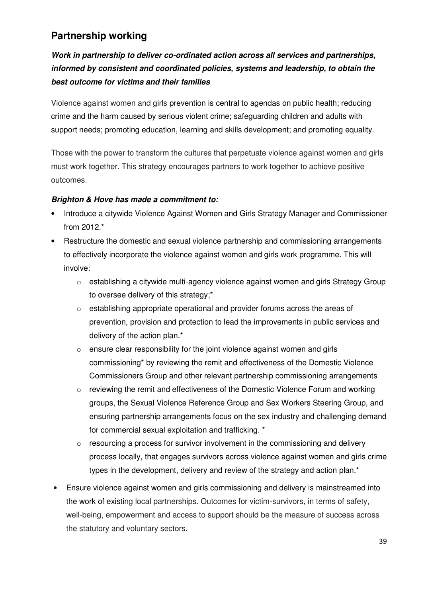### **Partnership working**

### **Work in partnership to deliver co-ordinated action across all services and partnerships, informed by consistent and coordinated policies, systems and leadership, to obtain the best outcome for victims and their families**

Violence against women and girls prevention is central to agendas on public health; reducing crime and the harm caused by serious violent crime; safeguarding children and adults with support needs; promoting education, learning and skills development; and promoting equality.

Those with the power to transform the cultures that perpetuate violence against women and girls must work together. This strategy encourages partners to work together to achieve positive outcomes.

### **Brighton & Hove has made a commitment to:**

- Introduce a citywide Violence Against Women and Girls Strategy Manager and Commissioner from 2012.\*
- Restructure the domestic and sexual violence partnership and commissioning arrangements to effectively incorporate the violence against women and girls work programme. This will involve:
	- o establishing a citywide multi-agency violence against women and girls Strategy Group to oversee delivery of this strategy;\*
	- $\circ$  establishing appropriate operational and provider forums across the areas of prevention, provision and protection to lead the improvements in public services and delivery of the action plan.\*
	- o ensure clear responsibility for the joint violence against women and girls commissioning\* by reviewing the remit and effectiveness of the Domestic Violence Commissioners Group and other relevant partnership commissioning arrangements
	- o reviewing the remit and effectiveness of the Domestic Violence Forum and working groups, the Sexual Violence Reference Group and Sex Workers Steering Group, and ensuring partnership arrangements focus on the sex industry and challenging demand for commercial sexual exploitation and trafficking. \*
	- $\circ$  resourcing a process for survivor involvement in the commissioning and delivery process locally, that engages survivors across violence against women and girls crime types in the development, delivery and review of the strategy and action plan.\*
- Ensure violence against women and girls commissioning and delivery is mainstreamed into the work of existing local partnerships. Outcomes for victim-survivors, in terms of safety, well-being, empowerment and access to support should be the measure of success across the statutory and voluntary sectors.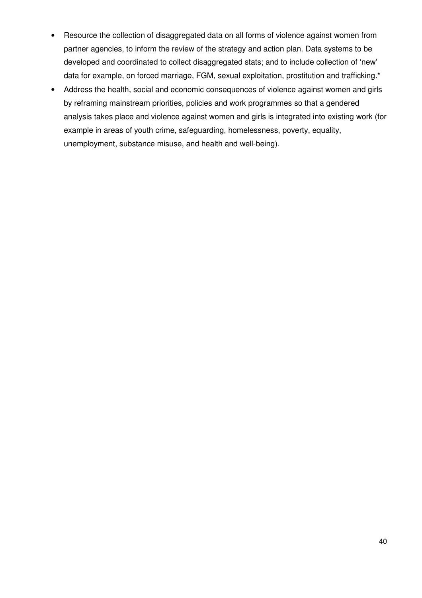- Resource the collection of disaggregated data on all forms of violence against women from partner agencies, to inform the review of the strategy and action plan. Data systems to be developed and coordinated to collect disaggregated stats; and to include collection of 'new' data for example, on forced marriage, FGM, sexual exploitation, prostitution and trafficking.\*
- Address the health, social and economic consequences of violence against women and girls by reframing mainstream priorities, policies and work programmes so that a gendered analysis takes place and violence against women and girls is integrated into existing work (for example in areas of youth crime, safeguarding, homelessness, poverty, equality, unemployment, substance misuse, and health and well-being).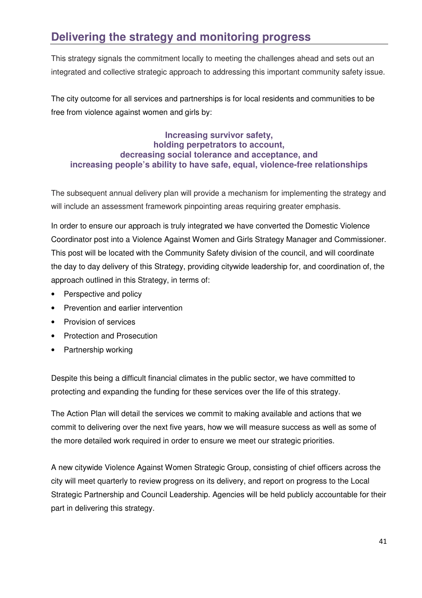# **Delivering the strategy and monitoring progress**

This strategy signals the commitment locally to meeting the challenges ahead and sets out an integrated and collective strategic approach to addressing this important community safety issue.

The city outcome for all services and partnerships is for local residents and communities to be free from violence against women and girls by:

**Increasing survivor safety, holding perpetrators to account, decreasing social tolerance and acceptance, and increasing people's ability to have safe, equal, violence-free relationships**

The subsequent annual delivery plan will provide a mechanism for implementing the strategy and will include an assessment framework pinpointing areas requiring greater emphasis.

In order to ensure our approach is truly integrated we have converted the Domestic Violence Coordinator post into a Violence Against Women and Girls Strategy Manager and Commissioner. This post will be located with the Community Safety division of the council, and will coordinate the day to day delivery of this Strategy, providing citywide leadership for, and coordination of, the approach outlined in this Strategy, in terms of:

- Perspective and policy
- Prevention and earlier intervention
- Provision of services
- Protection and Prosecution
- Partnership working

Despite this being a difficult financial climates in the public sector, we have committed to protecting and expanding the funding for these services over the life of this strategy.

The Action Plan will detail the services we commit to making available and actions that we commit to delivering over the next five years, how we will measure success as well as some of the more detailed work required in order to ensure we meet our strategic priorities.

A new citywide Violence Against Women Strategic Group, consisting of chief officers across the city will meet quarterly to review progress on its delivery, and report on progress to the Local Strategic Partnership and Council Leadership. Agencies will be held publicly accountable for their part in delivering this strategy.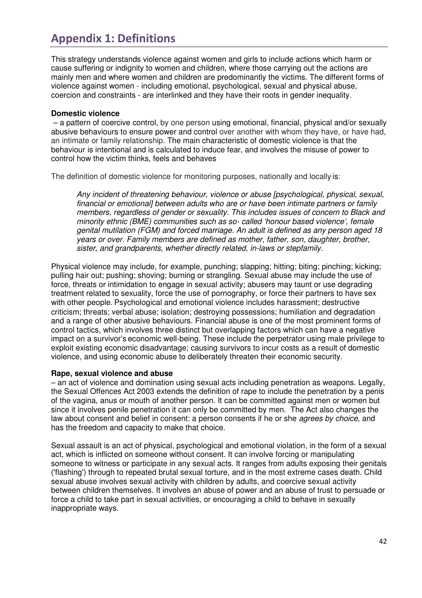### Appendix 1: Definitions I

This strategy understands violence against women and girls to include actions which harm or cause suffering or indignity to women and children, where those carrying out the actions are mainly men and where women and children are predominantly the victims. The different forms of violence against women - including emotional, psychological, sexual and physical abuse, coercion and constraints - are interlinked and they have their roots in gender inequality.

#### **Domestic violence**

 – a pattern of coercive control, by one person using emotional, financial, physical and/or sexually abusive behaviours to ensure power and control over another with whom they have, or have had, an intimate or family relationship. The main characteristic of domestic violence is that the behaviour is intentional and is calculated to induce fear, and involves the misuse of power to control how the victim thinks, feels and behaves

The definition of domestic violence for monitoring purposes, nationally and locally is:

Any incident of threatening behaviour, violence or abuse [psychological, physical, sexual, financial or emotional] between adults who are or have been intimate partners or family members, regardless of gender or sexuality. This includes issues of concern to Black and minority ethnic (BME) communities such as so- called 'honour based violence', female genital mutilation (FGM) and forced marriage. An adult is defined as any person aged 18 years or over. Family members are defined as mother, father, son, daughter, brother, sister, and grandparents, whether directly related, in-laws or stepfamily.

Physical violence may include, for example, punching; slapping; hitting; biting; pinching; kicking; pulling hair out; pushing; shoving; burning or strangling. Sexual abuse may include the use of force, threats or intimidation to engage in sexual activity; abusers may taunt or use degrading treatment related to sexuality, force the use of pornography, or force their partners to have sex with other people. Psychological and emotional violence includes harassment; destructive criticism; threats; verbal abuse; isolation; destroying possessions; humiliation and degradation and a range of other abusive behaviours. Financial abuse is one of the most prominent forms of control tactics, which involves three distinct but overlapping factors which can have a negative impact on a survivor's economic well-being. These include the perpetrator using male privilege to exploit existing economic disadvantage; causing survivors to incur costs as a result of domestic violence, and using economic abuse to deliberately threaten their economic security.

### **Rape, sexual violence and abuse**

– an act of violence and domination using sexual acts including penetration as weapons. Legally, the Sexual Offences Act 2003 extends the definition of rape to include the penetration by a penis of the vagina, anus or mouth of another person. It can be committed against men or women but since it involves penile penetration it can only be committed by men. The Act also changes the law about consent and belief in consent: a person consents if he or she *agrees by choice*, and has the freedom and capacity to make that choice.

Sexual assault is an act of physical, psychological and emotional violation, in the form of a sexual act, which is inflicted on someone without consent. It can involve forcing or manipulating someone to witness or participate in any sexual acts. It ranges from adults exposing their genitals ('flashing') through to repeated brutal sexual torture, and in the most extreme cases death. Child sexual abuse involves sexual activity with children by adults, and coercive sexual activity between children themselves. It involves an abuse of power and an abuse of trust to persuade or force a child to take part in sexual activities, or encouraging a child to behave in sexually inappropriate ways.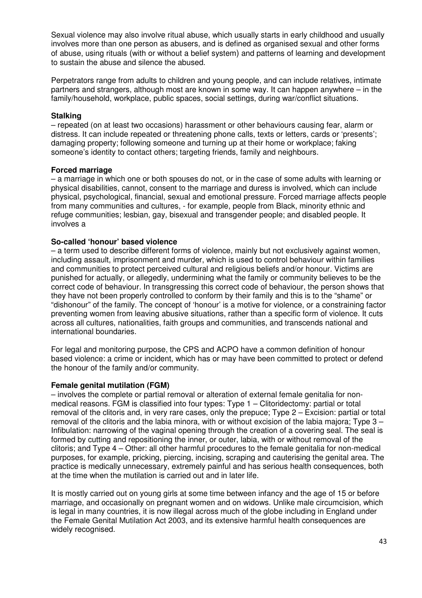Sexual violence may also involve ritual abuse, which usually starts in early childhood and usually involves more than one person as abusers, and is defined as organised sexual and other forms of abuse, using rituals (with or without a belief system) and patterns of learning and development to sustain the abuse and silence the abused.

Perpetrators range from adults to children and young people, and can include relatives, intimate partners and strangers, although most are known in some way. It can happen anywhere – in the family/household, workplace, public spaces, social settings, during war/conflict situations.

#### **Stalking**

– repeated (on at least two occasions) harassment or other behaviours causing fear, alarm or distress. It can include repeated or threatening phone calls, texts or letters, cards or 'presents'; damaging property; following someone and turning up at their home or workplace; faking someone's identity to contact others; targeting friends, family and neighbours.

#### **Forced marriage**

– a marriage in which one or both spouses do not, or in the case of some adults with learning or physical disabilities, cannot, consent to the marriage and duress is involved, which can include physical, psychological, financial, sexual and emotional pressure. Forced marriage affects people from many communities and cultures, - for example, people from Black, minority ethnic and refuge communities; lesbian, gay, bisexual and transgender people; and disabled people. It involves a

#### **So-called 'honour' based violence**

– a term used to describe different forms of violence, mainly but not exclusively against women, including assault, imprisonment and murder, which is used to control behaviour within families and communities to protect perceived cultural and religious beliefs and/or honour. Victims are punished for actually, or allegedly, undermining what the family or community believes to be the correct code of behaviour. In transgressing this correct code of behaviour, the person shows that they have not been properly controlled to conform by their family and this is to the "shame" or "dishonour" of the family. The concept of 'honour' is a motive for violence, or a constraining factor preventing women from leaving abusive situations, rather than a specific form of violence. It cuts across all cultures, nationalities, faith groups and communities, and transcends national and international boundaries.

For legal and monitoring purpose, the CPS and ACPO have a common definition of honour based violence: a crime or incident, which has or may have been committed to protect or defend the honour of the family and/or community.

#### **Female genital mutilation (FGM)**

– involves the complete or partial removal or alteration of external female genitalia for nonmedical reasons. FGM is classified into four types: Type 1 – Clitoridectomy: partial or total removal of the clitoris and, in very rare cases, only the prepuce; Type 2 – Excision: partial or total removal of the clitoris and the labia minora, with or without excision of the labia majora; Type 3 – Infibulation: narrowing of the vaginal opening through the creation of a covering seal. The seal is formed by cutting and repositioning the inner, or outer, labia, with or without removal of the clitoris; and Type 4 – Other: all other harmful procedures to the female genitalia for non-medical purposes, for example, pricking, piercing, incising, scraping and cauterising the genital area. The practice is medically unnecessary, extremely painful and has serious health consequences, both at the time when the mutilation is carried out and in later life.

It is mostly carried out on young girls at some time between infancy and the age of 15 or before marriage, and occasionally on pregnant women and on widows. Unlike male circumcision, which is legal in many countries, it is now illegal across much of the globe including in England under the Female Genital Mutilation Act 2003, and its extensive harmful health consequences are widely recognised.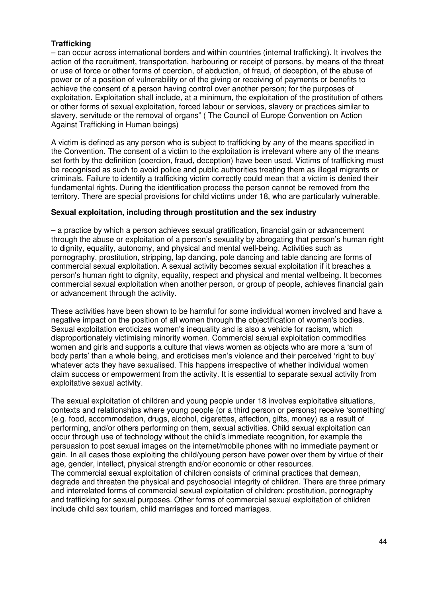#### **Trafficking**

– can occur across international borders and within countries (internal trafficking). It involves the action of the recruitment, transportation, harbouring or receipt of persons, by means of the threat or use of force or other forms of coercion, of abduction, of fraud, of deception, of the abuse of power or of a position of vulnerability or of the giving or receiving of payments or benefits to achieve the consent of a person having control over another person; for the purposes of exploitation. Exploitation shall include, at a minimum, the exploitation of the prostitution of others or other forms of sexual exploitation, forced labour or services, slavery or practices similar to slavery, servitude or the removal of organs" ( The Council of Europe Convention on Action Against Trafficking in Human beings)

A victim is defined as any person who is subject to trafficking by any of the means specified in the Convention. The consent of a victim to the exploitation is irrelevant where any of the means set forth by the definition (coercion, fraud, deception) have been used. Victims of trafficking must be recognised as such to avoid police and public authorities treating them as illegal migrants or criminals. Failure to identify a trafficking victim correctly could mean that a victim is denied their fundamental rights. During the identification process the person cannot be removed from the territory. There are special provisions for child victims under 18, who are particularly vulnerable.

#### **Sexual exploitation, including through prostitution and the sex industry**

– a practice by which a person achieves sexual gratification, financial gain or advancement through the abuse or exploitation of a person's sexuality by abrogating that person's human right to dignity, equality, autonomy, and physical and mental well-being. Activities such as pornography, prostitution, stripping, lap dancing, pole dancing and table dancing are forms of commercial sexual exploitation. A sexual activity becomes sexual exploitation if it breaches a person's human right to dignity, equality, respect and physical and mental wellbeing. It becomes commercial sexual exploitation when another person, or group of people, achieves financial gain or advancement through the activity.

These activities have been shown to be harmful for some individual women involved and have a negative impact on the position of all women through the objectification of women's bodies. Sexual exploitation eroticizes women's inequality and is also a vehicle for racism, which disproportionately victimising minority women. Commercial sexual exploitation commodifies women and girls and supports a culture that views women as objects who are more a 'sum of body parts' than a whole being, and eroticises men's violence and their perceived 'right to buy' whatever acts they have sexualised. This happens irrespective of whether individual women claim success or empowerment from the activity. It is essential to separate sexual activity from exploitative sexual activity.

The sexual exploitation of children and young people under 18 involves exploitative situations, contexts and relationships where young people (or a third person or persons) receive 'something' (e.g. food, accommodation, drugs, alcohol, cigarettes, affection, gifts, money) as a result of performing, and/or others performing on them, sexual activities. Child sexual exploitation can occur through use of technology without the child's immediate recognition, for example the persuasion to post sexual images on the internet/mobile phones with no immediate payment or gain. In all cases those exploiting the child/young person have power over them by virtue of their age, gender, intellect, physical strength and/or economic or other resources.

The commercial sexual exploitation of children consists of criminal practices that demean, degrade and threaten the physical and psychosocial integrity of children. There are three primary and interrelated forms of commercial sexual exploitation of children: prostitution, pornography and trafficking for sexual purposes. Other forms of commercial sexual exploitation of children include child sex tourism, child marriages and forced marriages.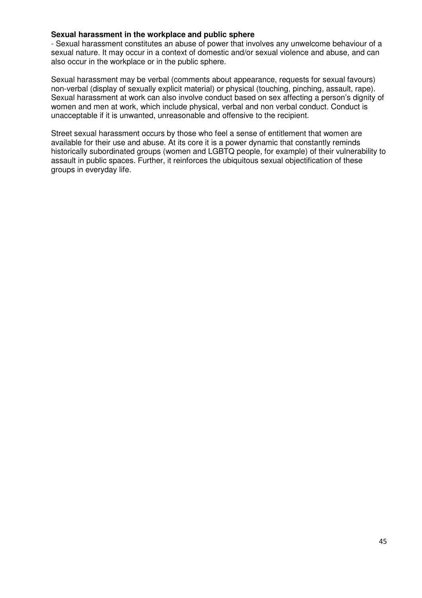#### **Sexual harassment in the workplace and public sphere**

- Sexual harassment constitutes an abuse of power that involves any unwelcome behaviour of a sexual nature. It may occur in a context of domestic and/or sexual violence and abuse, and can also occur in the workplace or in the public sphere.

Sexual harassment may be verbal (comments about appearance, requests for sexual favours) non-verbal (display of sexually explicit material) or physical (touching, pinching, assault, rape). Sexual harassment at work can also involve conduct based on sex affecting a person's dignity of women and men at work, which include physical, verbal and non verbal conduct. Conduct is unacceptable if it is unwanted, unreasonable and offensive to the recipient.

Street sexual harassment occurs by those who feel a sense of entitlement that women are available for their use and abuse. At its core it is a power dynamic that constantly reminds historically subordinated groups (women and LGBTQ people, for example) of their vulnerability to assault in public spaces. Further, it reinforces the ubiquitous sexual objectification of these groups in everyday life.